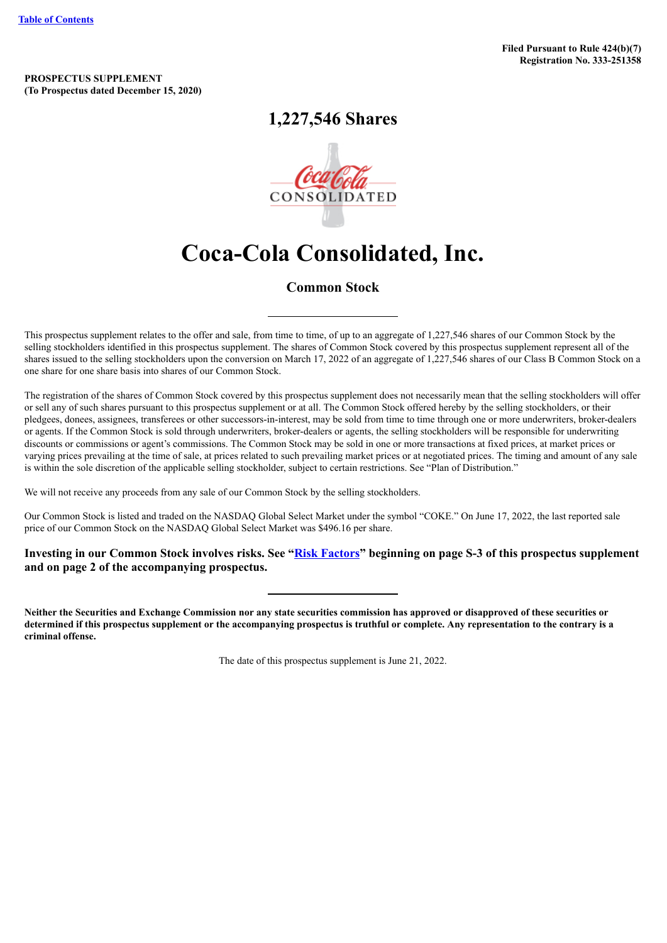**PROSPECTUS SUPPLEMENT (To Prospectus dated December 15, 2020)**

## **1,227,546 Shares**



# **Coca-Cola Consolidated, Inc.**

### **Common Stock**

This prospectus supplement relates to the offer and sale, from time to time, of up to an aggregate of 1,227,546 shares of our Common Stock by the selling stockholders identified in this prospectus supplement. The shares of Common Stock covered by this prospectus supplement represent all of the shares issued to the selling stockholders upon the conversion on March 17, 2022 of an aggregate of 1,227,546 shares of our Class B Common Stock on a one share for one share basis into shares of our Common Stock.

The registration of the shares of Common Stock covered by this prospectus supplement does not necessarily mean that the selling stockholders will offer or sell any of such shares pursuant to this prospectus supplement or at all. The Common Stock offered hereby by the selling stockholders, or their pledgees, donees, assignees, transferees or other successors-in-interest, may be sold from time to time through one or more underwriters, broker-dealers or agents. If the Common Stock is sold through underwriters, broker-dealers or agents, the selling stockholders will be responsible for underwriting discounts or commissions or agent's commissions. The Common Stock may be sold in one or more transactions at fixed prices, at market prices or varying prices prevailing at the time of sale, at prices related to such prevailing market prices or at negotiated prices. The timing and amount of any sale is within the sole discretion of the applicable selling stockholder, subject to certain restrictions. See "Plan of Distribution."

We will not receive any proceeds from any sale of our Common Stock by the selling stockholders.

Our Common Stock is listed and traded on the NASDAQ Global Select Market under the symbol "COKE." On June 17, 2022, the last reported sale price of our Common Stock on the NASDAQ Global Select Market was \$496.16 per share.

**Investing in our Common Stock involves risks. See "Risk [Factors](#page-7-0)" beginning on page S-3 of this prospectus supplement and on page 2 of the accompanying prospectus.**

Neither the Securities and Exchange Commission nor any state securities commission has approved or disapproved of these securities or determined if this prospectus supplement or the accompanying prospectus is truthful or complete. Any representation to the contrary is a **criminal offense.**

The date of this prospectus supplement is June 21, 2022.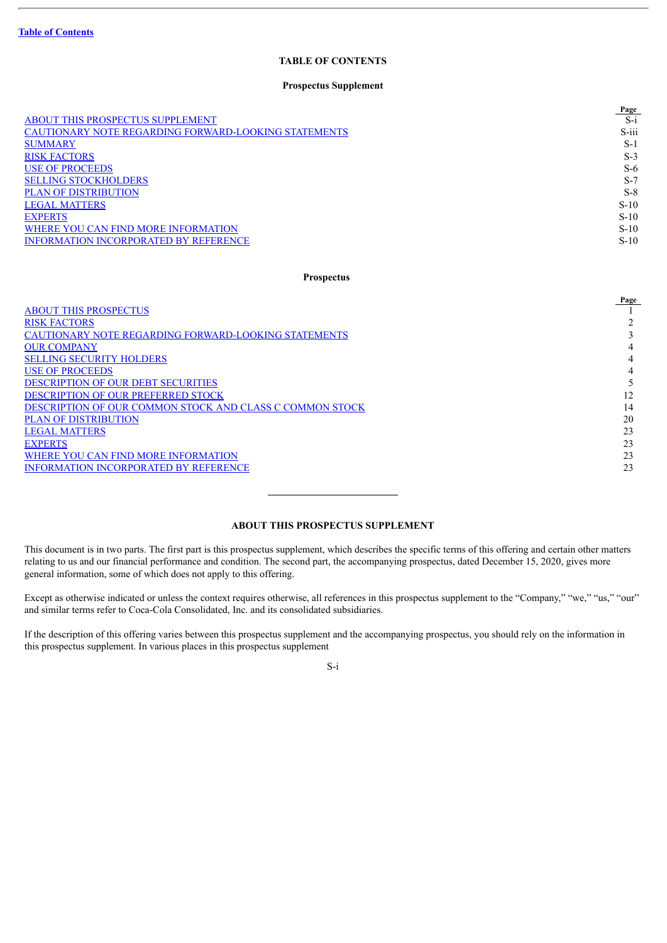### **TABLE OF CONTENTS**

### **Prospectus Supplement**

<span id="page-1-0"></span>

|                                                             | Page     |
|-------------------------------------------------------------|----------|
| <b>ABOUT THIS PROSPECTUS SUPPLEMENT</b>                     | $S-i$    |
| <b>CAUTIONARY NOTE REGARDING FORWARD-LOOKING STATEMENTS</b> | $S$ -iii |
| <b>SUMMARY</b>                                              | $S-1$    |
| <b>RISK FACTORS</b>                                         | $S-3$    |
| <b>USE OF PROCEEDS</b>                                      | $S-6$    |
| <b>SELLING STOCKHOLDERS</b>                                 | $S-7$    |
| <b>PLAN OF DISTRIBUTION</b>                                 | $S-8$    |
| <b>LEGAL MATTERS</b>                                        | $S-10$   |
| <b>EXPERTS</b>                                              | $S-10$   |
| WHERE YOU CAN FIND MORE INFORMATION                         | $S-10$   |
| <b>INFORMATION INCORPORATED BY REFERENCE</b>                | $S-10$   |
|                                                             |          |

### **Prospectus**

|                                                          | Page |
|----------------------------------------------------------|------|
| ABOUT THIS PROSPECTUS                                    |      |
| <b>RISK FACTORS</b>                                      |      |
| CAUTIONARY NOTE REGARDING FORWARD-LOOKING STATEMENTS     |      |
| <b>OUR COMPANY</b>                                       |      |
| <b>SELLING SECURITY HOLDERS</b>                          |      |
| <b>USE OF PROCEEDS</b>                                   |      |
| <b>DESCRIPTION OF OUR DEBT SECURITIES</b>                |      |
| DESCRIPTION OF OUR PREFERRED STOCK                       | 12   |
| DESCRIPTION OF OUR COMMON STOCK AND CLASS C COMMON STOCK | 14   |
| <b>PLAN OF DISTRIBUTION</b>                              | 20   |
| <b>LEGAL MATTERS</b>                                     | 23   |
| <b>EXPERTS</b>                                           | 23   |
| WHERE YOU CAN FIND MORE INFORMATION                      | 23   |
| INFORMATION INCORPORATED BY REFERENCE                    | 23   |
|                                                          |      |

### **ABOUT THIS PROSPECTUS SUPPLEMENT**

<span id="page-1-1"></span>This document is in two parts. The first part is this prospectus supplement, which describes the specific terms of this offering and certain other matters relating to us and our financial performance and condition. The second part, the accompanying prospectus, dated December 15, 2020, gives more general information, some of which does not apply to this offering.

Except as otherwise indicated or unless the context requires otherwise, all references in this prospectus supplement to the "Company," "we," "us," "our" and similar terms refer to Coca-Cola Consolidated, Inc. and its consolidated subsidiaries.

If the description of this offering varies between this prospectus supplement and the accompanying prospectus, you should rely on the information in this prospectus supplement. In various places in this prospectus supplement

S-i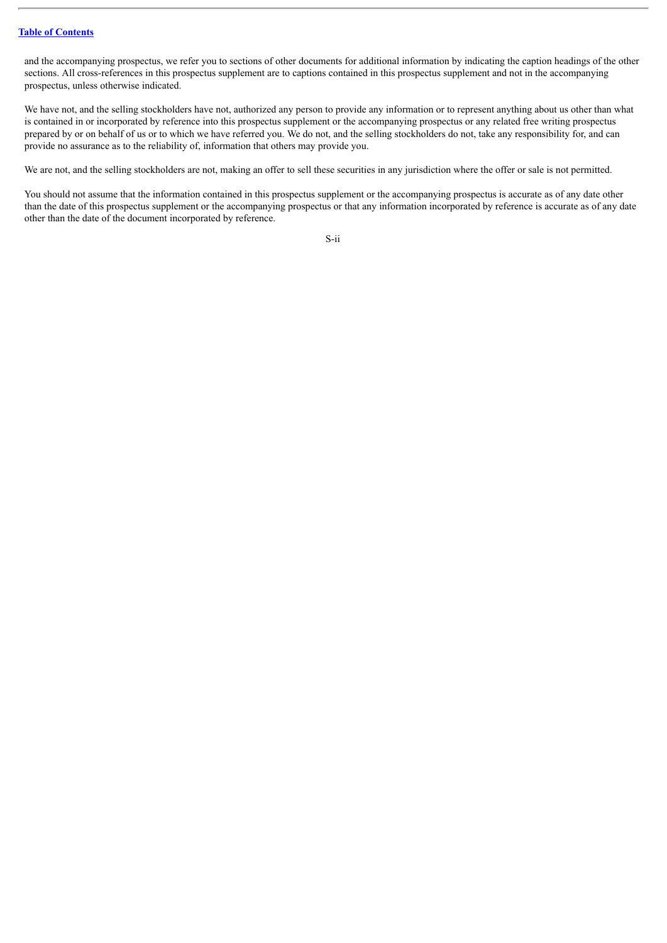and the accompanying prospectus, we refer you to sections of other documents for additional information by indicating the caption headings of the other sections. All cross-references in this prospectus supplement are to captions contained in this prospectus supplement and not in the accompanying prospectus, unless otherwise indicated.

We have not, and the selling stockholders have not, authorized any person to provide any information or to represent anything about us other than what is contained in or incorporated by reference into this prospectus supplement or the accompanying prospectus or any related free writing prospectus prepared by or on behalf of us or to which we have referred you. We do not, and the selling stockholders do not, take any responsibility for, and can provide no assurance as to the reliability of, information that others may provide you.

We are not, and the selling stockholders are not, making an offer to sell these securities in any jurisdiction where the offer or sale is not permitted.

You should not assume that the information contained in this prospectus supplement or the accompanying prospectus is accurate as of any date other than the date of this prospectus supplement or the accompanying prospectus or that any information incorporated by reference is accurate as of any date other than the date of the document incorporated by reference.

S-ii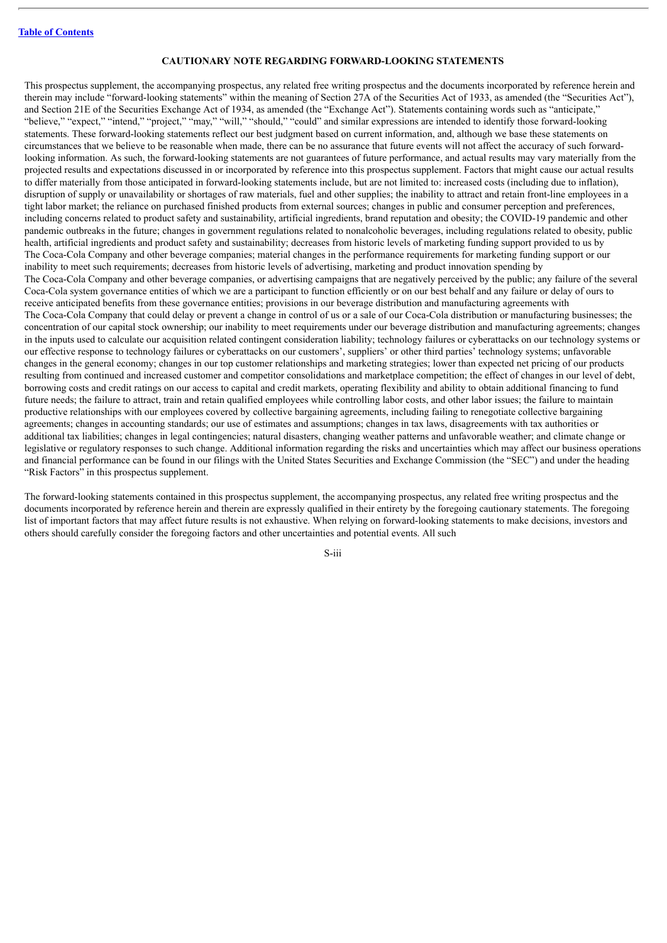### **CAUTIONARY NOTE REGARDING FORWARD-LOOKING STATEMENTS**

<span id="page-3-0"></span>This prospectus supplement, the accompanying prospectus, any related free writing prospectus and the documents incorporated by reference herein and therein may include "forward-looking statements" within the meaning of Section 27A of the Securities Act of 1933, as amended (the "Securities Act"), and Section 21E of the Securities Exchange Act of 1934, as amended (the "Exchange Act"). Statements containing words such as "anticipate," "believe," "expect," "intend," "project," "may," "will," "should," "could" and similar expressions are intended to identify those forward-looking statements. These forward-looking statements reflect our best judgment based on current information, and, although we base these statements on circumstances that we believe to be reasonable when made, there can be no assurance that future events will not affect the accuracy of such forwardlooking information. As such, the forward-looking statements are not guarantees of future performance, and actual results may vary materially from the projected results and expectations discussed in or incorporated by reference into this prospectus supplement. Factors that might cause our actual results to differ materially from those anticipated in forward-looking statements include, but are not limited to: increased costs (including due to inflation), disruption of supply or unavailability or shortages of raw materials, fuel and other supplies; the inability to attract and retain front-line employees in a tight labor market; the reliance on purchased finished products from external sources; changes in public and consumer perception and preferences, including concerns related to product safety and sustainability, artificial ingredients, brand reputation and obesity; the COVID-19 pandemic and other pandemic outbreaks in the future; changes in government regulations related to nonalcoholic beverages, including regulations related to obesity, public health, artificial ingredients and product safety and sustainability; decreases from historic levels of marketing funding support provided to us by The Coca-Cola Company and other beverage companies; material changes in the performance requirements for marketing funding support or our inability to meet such requirements; decreases from historic levels of advertising, marketing and product innovation spending by The Coca-Cola Company and other beverage companies, or advertising campaigns that are negatively perceived by the public; any failure of the several Coca-Cola system governance entities of which we are a participant to function efficiently or on our best behalf and any failure or delay of ours to receive anticipated benefits from these governance entities; provisions in our beverage distribution and manufacturing agreements with The Coca-Cola Company that could delay or prevent a change in control of us or a sale of our Coca-Cola distribution or manufacturing businesses; the concentration of our capital stock ownership; our inability to meet requirements under our beverage distribution and manufacturing agreements; changes in the inputs used to calculate our acquisition related contingent consideration liability; technology failures or cyberattacks on our technology systems or our effective response to technology failures or cyberattacks on our customers', suppliers' or other third parties' technology systems; unfavorable changes in the general economy; changes in our top customer relationships and marketing strategies; lower than expected net pricing of our products resulting from continued and increased customer and competitor consolidations and marketplace competition; the effect of changes in our level of debt, borrowing costs and credit ratings on our access to capital and credit markets, operating flexibility and ability to obtain additional financing to fund future needs; the failure to attract, train and retain qualified employees while controlling labor costs, and other labor issues; the failure to maintain productive relationships with our employees covered by collective bargaining agreements, including failing to renegotiate collective bargaining agreements; changes in accounting standards; our use of estimates and assumptions; changes in tax laws, disagreements with tax authorities or additional tax liabilities; changes in legal contingencies; natural disasters, changing weather patterns and unfavorable weather; and climate change or legislative or regulatory responses to such change. Additional information regarding the risks and uncertainties which may affect our business operations and financial performance can be found in our filings with the United States Securities and Exchange Commission (the "SEC") and under the heading "Risk Factors" in this prospectus supplement.

The forward-looking statements contained in this prospectus supplement, the accompanying prospectus, any related free writing prospectus and the documents incorporated by reference herein and therein are expressly qualified in their entirety by the foregoing cautionary statements. The foregoing list of important factors that may affect future results is not exhaustive. When relying on forward-looking statements to make decisions, investors and others should carefully consider the foregoing factors and other uncertainties and potential events. All such

S-iii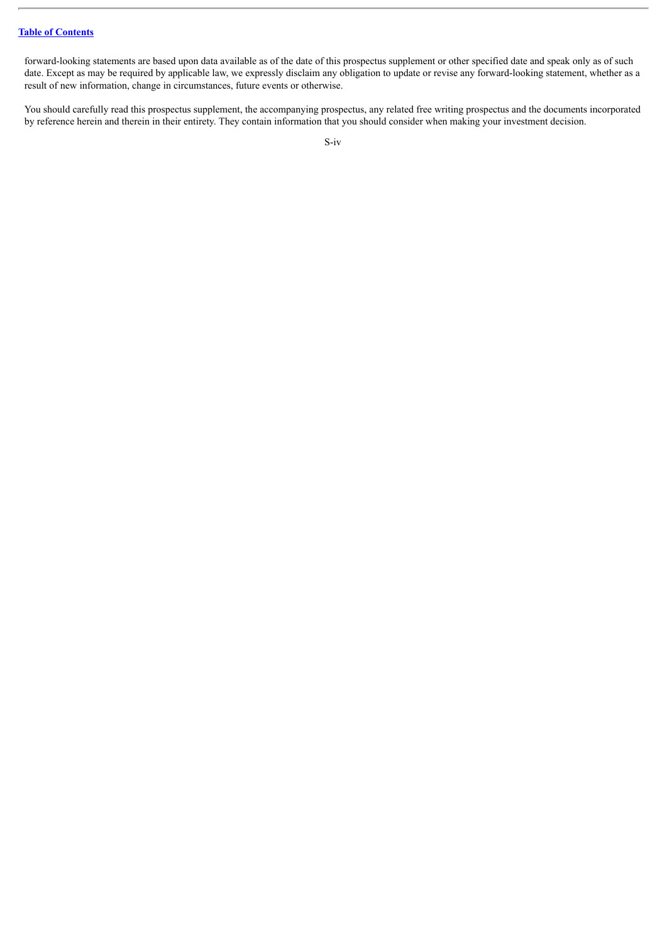forward-looking statements are based upon data available as of the date of this prospectus supplement or other specified date and speak only as of such date. Except as may be required by applicable law, we expressly disclaim any obligation to update or revise any forward-looking statement, whether as a result of new information, change in circumstances, future events or otherwise.

You should carefully read this prospectus supplement, the accompanying prospectus, any related free writing prospectus and the documents incorporated by reference herein and therein in their entirety. They contain information that you should consider when making your investment decision.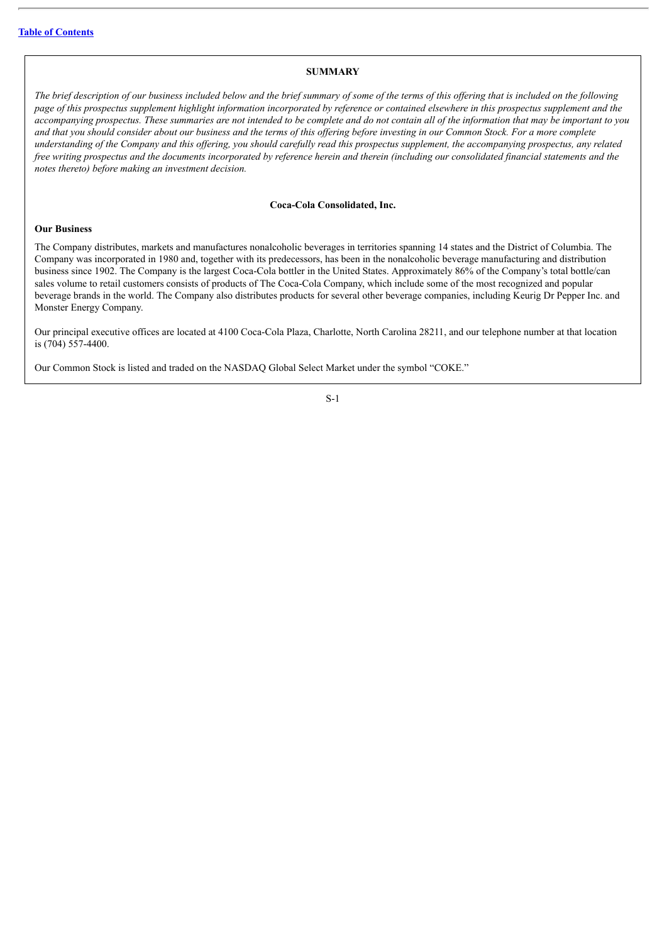### **SUMMARY**

<span id="page-5-0"></span>The brief description of our business included below and the brief summary of some of the terms of this offering that is included on the following page of this prospectus supplement highlight information incorporated by reference or contained elsewhere in this prospectus supplement and the accompanying prospectus. These summaries are not intended to be complete and do not contain all of the information that may be important to you and that you should consider about our business and the terms of this offering before investing in our Common Stock. For a more complete understanding of the Company and this offering, you should carefully read this prospectus supplement, the accompanying prospectus, any related free writing prospectus and the documents incorporated by reference herein and therein (including our consolidated financial statements and the *notes thereto) before making an investment decision.*

### **Coca-Cola Consolidated, Inc.**

### **Our Business**

The Company distributes, markets and manufactures nonalcoholic beverages in territories spanning 14 states and the District of Columbia. The Company was incorporated in 1980 and, together with its predecessors, has been in the nonalcoholic beverage manufacturing and distribution business since 1902. The Company is the largest Coca-Cola bottler in the United States. Approximately 86% of the Company's total bottle/can sales volume to retail customers consists of products of The Coca-Cola Company, which include some of the most recognized and popular beverage brands in the world. The Company also distributes products for several other beverage companies, including Keurig Dr Pepper Inc. and Monster Energy Company.

Our principal executive offices are located at 4100 Coca-Cola Plaza, Charlotte, North Carolina 28211, and our telephone number at that location is (704) 557-4400.

Our Common Stock is listed and traded on the NASDAQ Global Select Market under the symbol "COKE."

S-1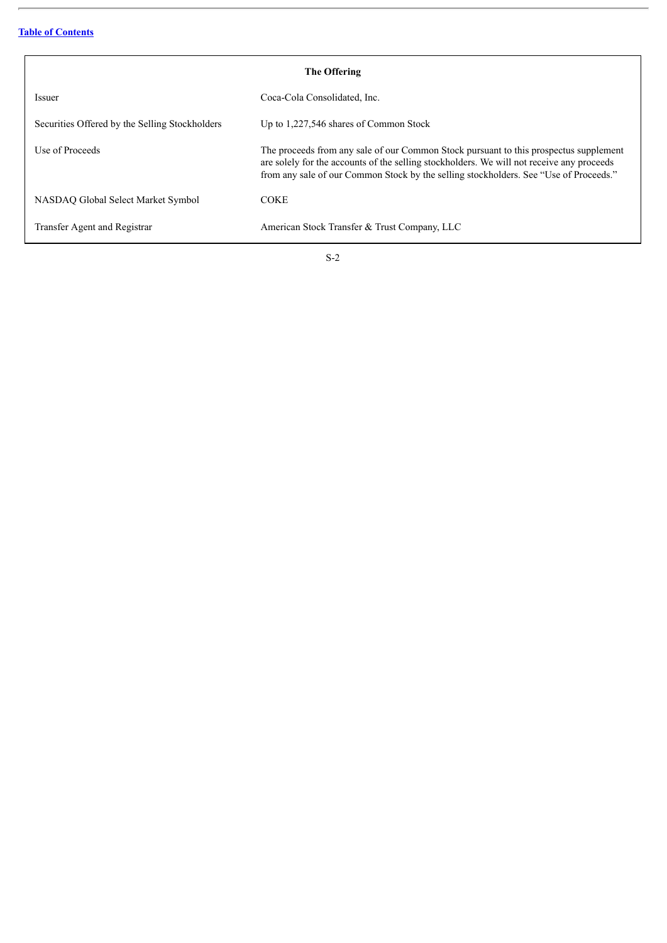ł.

| The Offering                                   |                                                                                                                                                                                                                                                                             |  |  |  |  |  |
|------------------------------------------------|-----------------------------------------------------------------------------------------------------------------------------------------------------------------------------------------------------------------------------------------------------------------------------|--|--|--|--|--|
| Issuer                                         | Coca-Cola Consolidated, Inc.                                                                                                                                                                                                                                                |  |  |  |  |  |
| Securities Offered by the Selling Stockholders | Up to 1,227,546 shares of Common Stock                                                                                                                                                                                                                                      |  |  |  |  |  |
| Use of Proceeds                                | The proceeds from any sale of our Common Stock pursuant to this prospectus supplement<br>are solely for the accounts of the selling stockholders. We will not receive any proceeds<br>from any sale of our Common Stock by the selling stockholders. See "Use of Proceeds." |  |  |  |  |  |
| NASDAQ Global Select Market Symbol             | <b>COKE</b>                                                                                                                                                                                                                                                                 |  |  |  |  |  |
| Transfer Agent and Registrar                   | American Stock Transfer & Trust Company, LLC                                                                                                                                                                                                                                |  |  |  |  |  |

S-2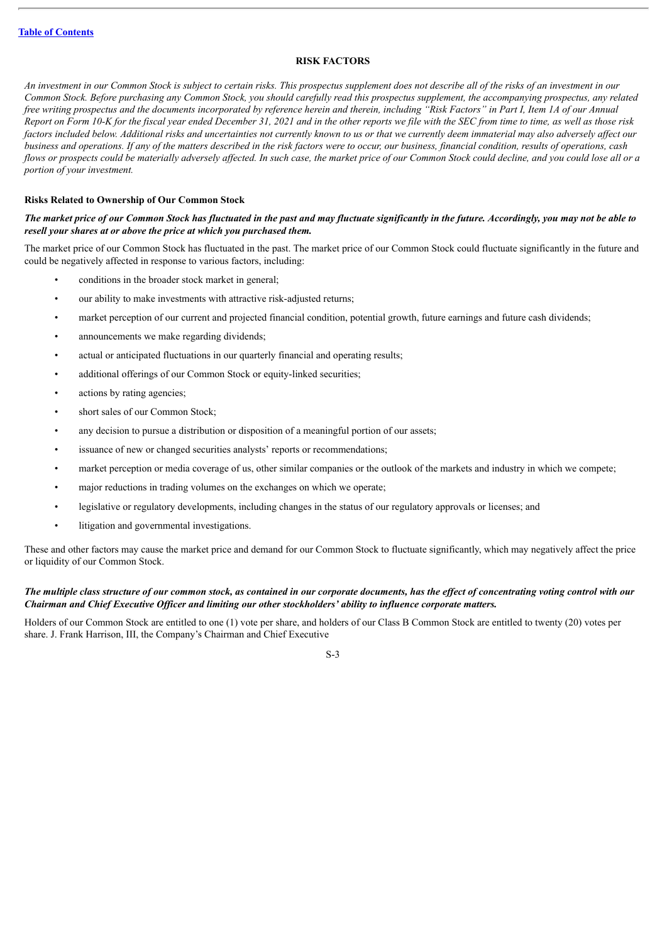### **RISK FACTORS**

<span id="page-7-0"></span>An investment in our Common Stock is subject to certain risks. This prospectus supplement does not describe all of the risks of an investment in our Common Stock. Before purchasing any Common Stock, you should carefully read this prospectus supplement, the accompanying prospectus, any related free writing prospectus and the documents incorporated by reference herein and therein, including "Risk Factors" in Part I, Item 1A of our Annual Report on Form 10-K for the fiscal year ended December 31, 2021 and in the other reports we file with the SEC from time to time, as well as those risk factors included below. Additional risks and uncertainties not currently known to us or that we currently deem immaterial may also adversely affect our business and operations. If any of the matters described in the risk factors were to occur, our business, financial condition, results of operations, cash flows or prospects could be materially adversely affected. In such case, the market price of our Common Stock could decline, and you could lose all or a *portion of your investment.*

### **Risks Related to Ownership of Our Common Stock**

### The market price of our Common Stock has fluctuated in the past and may fluctuate significantly in the future. Accordingly, you may not be able to *resell your shares at or above the price at which you purchased them.*

The market price of our Common Stock has fluctuated in the past. The market price of our Common Stock could fluctuate significantly in the future and could be negatively affected in response to various factors, including:

- conditions in the broader stock market in general;
- our ability to make investments with attractive risk-adjusted returns;
- market perception of our current and projected financial condition, potential growth, future earnings and future cash dividends;
- announcements we make regarding dividends;
- actual or anticipated fluctuations in our quarterly financial and operating results;
- additional offerings of our Common Stock or equity-linked securities;
- actions by rating agencies;
- short sales of our Common Stock:
- any decision to pursue a distribution or disposition of a meaningful portion of our assets;
- issuance of new or changed securities analysts' reports or recommendations;
- market perception or media coverage of us, other similar companies or the outlook of the markets and industry in which we compete;
- major reductions in trading volumes on the exchanges on which we operate;
- legislative or regulatory developments, including changes in the status of our regulatory approvals or licenses; and
- litigation and governmental investigations.

These and other factors may cause the market price and demand for our Common Stock to fluctuate significantly, which may negatively affect the price or liquidity of our Common Stock.

### The multiple class structure of our common stock, as contained in our corporate documents, has the effect of concentrating voting control with our Chairman and Chief Executive Officer and limiting our other stockholders' ability to influence corporate matters.

Holders of our Common Stock are entitled to one (1) vote per share, and holders of our Class B Common Stock are entitled to twenty (20) votes per share. J. Frank Harrison, III, the Company's Chairman and Chief Executive

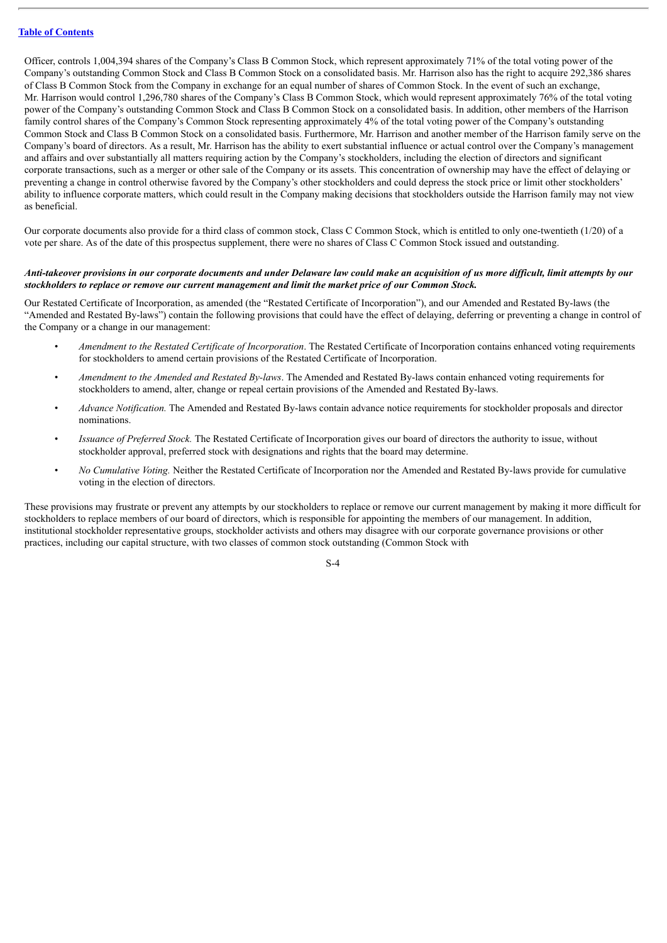Officer, controls 1,004,394 shares of the Company's Class B Common Stock, which represent approximately 71% of the total voting power of the Company's outstanding Common Stock and Class B Common Stock on a consolidated basis. Mr. Harrison also has the right to acquire 292,386 shares of Class B Common Stock from the Company in exchange for an equal number of shares of Common Stock. In the event of such an exchange, Mr. Harrison would control 1,296,780 shares of the Company's Class B Common Stock, which would represent approximately 76% of the total voting power of the Company's outstanding Common Stock and Class B Common Stock on a consolidated basis. In addition, other members of the Harrison family control shares of the Company's Common Stock representing approximately 4% of the total voting power of the Company's outstanding Common Stock and Class B Common Stock on a consolidated basis. Furthermore, Mr. Harrison and another member of the Harrison family serve on the Company's board of directors. As a result, Mr. Harrison has the ability to exert substantial influence or actual control over the Company's management and affairs and over substantially all matters requiring action by the Company's stockholders, including the election of directors and significant corporate transactions, such as a merger or other sale of the Company or its assets. This concentration of ownership may have the effect of delaying or preventing a change in control otherwise favored by the Company's other stockholders and could depress the stock price or limit other stockholders' ability to influence corporate matters, which could result in the Company making decisions that stockholders outside the Harrison family may not view as beneficial.

Our corporate documents also provide for a third class of common stock, Class C Common Stock, which is entitled to only one-twentieth (1/20) of a vote per share. As of the date of this prospectus supplement, there were no shares of Class C Common Stock issued and outstanding.

### Anti-takeover provisions in our corporate documents and under Delaware law could make an acquisition of us more difficult, limit attempts by our *stockholders to replace or remove our current management and limit the market price of our Common Stock.*

Our Restated Certificate of Incorporation, as amended (the "Restated Certificate of Incorporation"), and our Amended and Restated By-laws (the "Amended and Restated By-laws") contain the following provisions that could have the effect of delaying, deferring or preventing a change in control of the Company or a change in our management:

- *Amendment to the Restated Certificate of Incorporation*. The Restated Certificate of Incorporation contains enhanced voting requirements for stockholders to amend certain provisions of the Restated Certificate of Incorporation.
- *Amendment to the Amended and Restated By-laws*. The Amended and Restated By-laws contain enhanced voting requirements for stockholders to amend, alter, change or repeal certain provisions of the Amended and Restated By-laws.
- *Advance Notification.* The Amended and Restated By-laws contain advance notice requirements for stockholder proposals and director nominations.
- *Issuance of Preferred Stock.* The Restated Certificate of Incorporation gives our board of directors the authority to issue, without stockholder approval, preferred stock with designations and rights that the board may determine.
- *No Cumulative Voting.* Neither the Restated Certificate of Incorporation nor the Amended and Restated By-laws provide for cumulative voting in the election of directors.

These provisions may frustrate or prevent any attempts by our stockholders to replace or remove our current management by making it more difficult for stockholders to replace members of our board of directors, which is responsible for appointing the members of our management. In addition, institutional stockholder representative groups, stockholder activists and others may disagree with our corporate governance provisions or other practices, including our capital structure, with two classes of common stock outstanding (Common Stock with

 $S-4$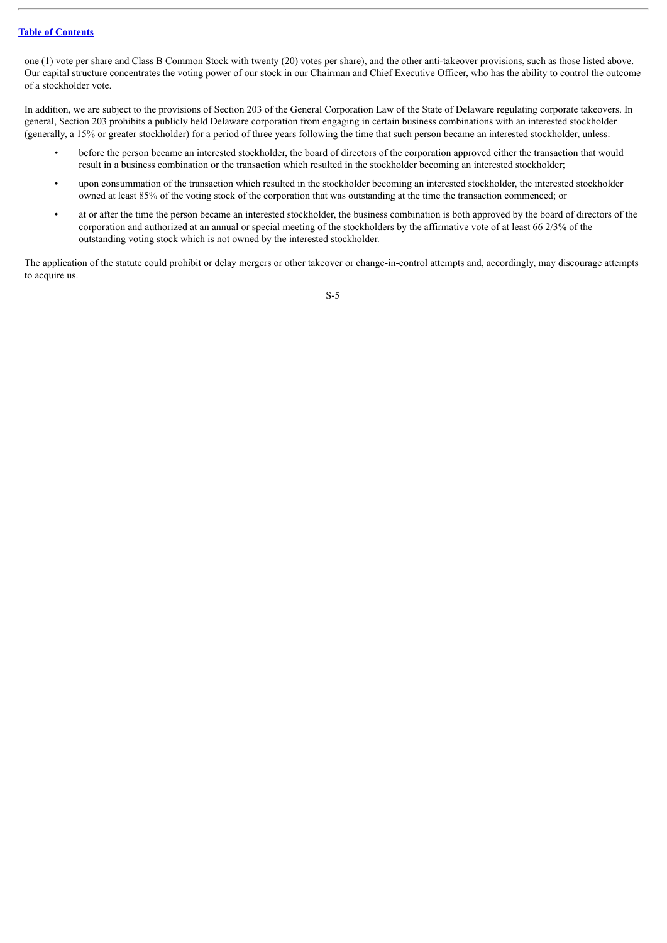one (1) vote per share and Class B Common Stock with twenty (20) votes per share), and the other anti-takeover provisions, such as those listed above. Our capital structure concentrates the voting power of our stock in our Chairman and Chief Executive Officer, who has the ability to control the outcome of a stockholder vote.

In addition, we are subject to the provisions of Section 203 of the General Corporation Law of the State of Delaware regulating corporate takeovers. In general, Section 203 prohibits a publicly held Delaware corporation from engaging in certain business combinations with an interested stockholder (generally, a 15% or greater stockholder) for a period of three years following the time that such person became an interested stockholder, unless:

- before the person became an interested stockholder, the board of directors of the corporation approved either the transaction that would result in a business combination or the transaction which resulted in the stockholder becoming an interested stockholder;
- upon consummation of the transaction which resulted in the stockholder becoming an interested stockholder, the interested stockholder owned at least 85% of the voting stock of the corporation that was outstanding at the time the transaction commenced; or
- at or after the time the person became an interested stockholder, the business combination is both approved by the board of directors of the corporation and authorized at an annual or special meeting of the stockholders by the affirmative vote of at least 66 2/3% of the outstanding voting stock which is not owned by the interested stockholder.

The application of the statute could prohibit or delay mergers or other takeover or change-in-control attempts and, accordingly, may discourage attempts to acquire us.

S-5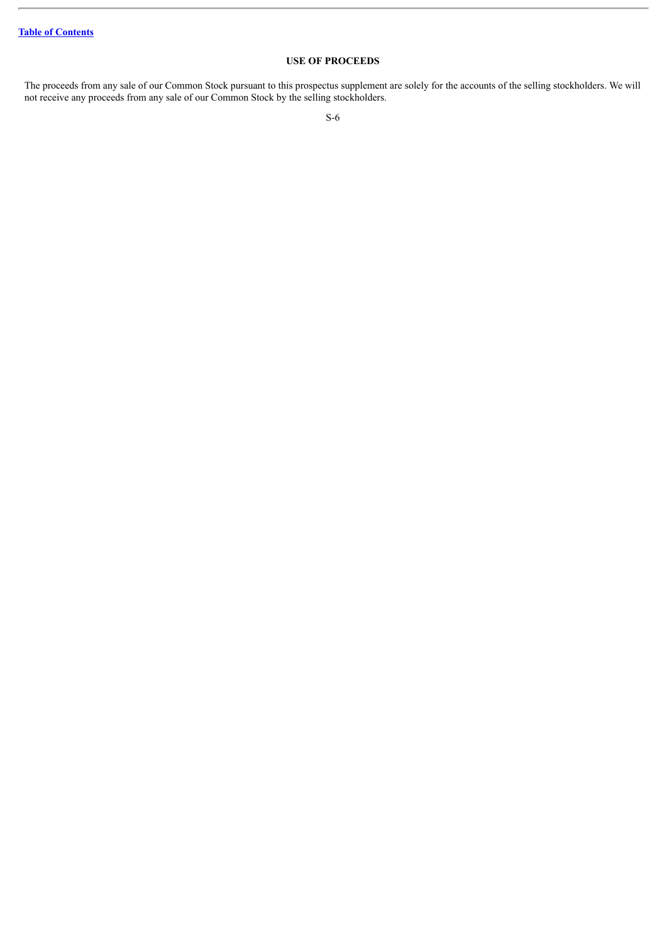### **USE OF PROCEEDS**

<span id="page-10-0"></span>The proceeds from any sale of our Common Stock pursuant to this prospectus supplement are solely for the accounts of the selling stockholders. We will not receive any proceeds from any sale of our Common Stock by the selling stockholders.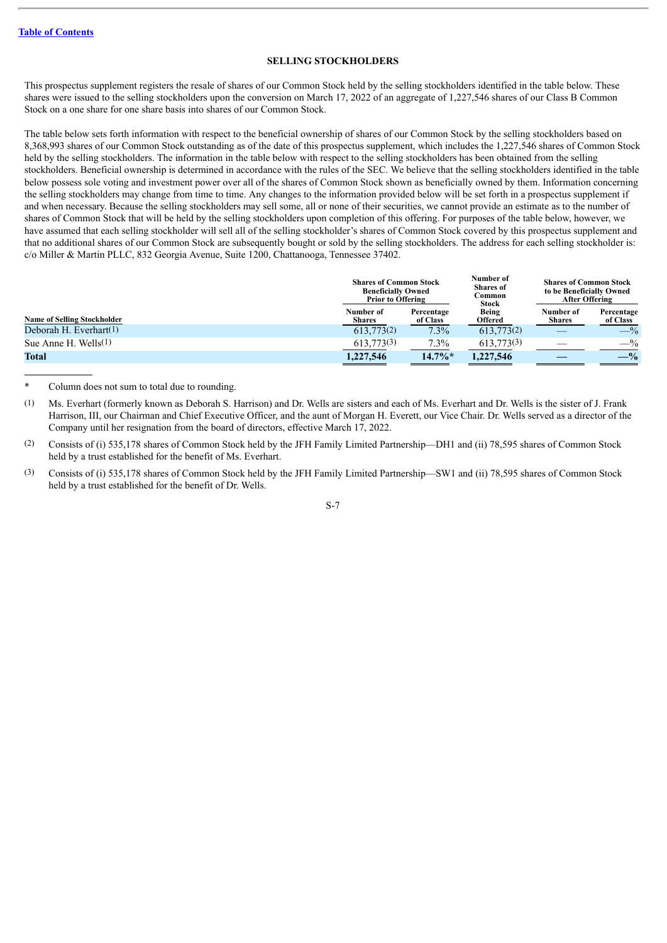### **SELLING STOCKHOLDERS**

<span id="page-11-0"></span>This prospectus supplement registers the resale of shares of our Common Stock held by the selling stockholders identified in the table below. These shares were issued to the selling stockholders upon the conversion on March 17, 2022 of an aggregate of 1,227,546 shares of our Class B Common Stock on a one share for one share basis into shares of our Common Stock.

The table below sets forth information with respect to the beneficial ownership of shares of our Common Stock by the selling stockholders based on 8,368,993 shares of our Common Stock outstanding as of the date of this prospectus supplement, which includes the 1,227,546 shares of Common Stock held by the selling stockholders. The information in the table below with respect to the selling stockholders has been obtained from the selling stockholders. Beneficial ownership is determined in accordance with the rules of the SEC. We believe that the selling stockholders identified in the table below possess sole voting and investment power over all of the shares of Common Stock shown as beneficially owned by them. Information concerning the selling stockholders may change from time to time. Any changes to the information provided below will be set forth in a prospectus supplement if and when necessary. Because the selling stockholders may sell some, all or none of their securities, we cannot provide an estimate as to the number of shares of Common Stock that will be held by the selling stockholders upon completion of this offering. For purposes of the table below, however, we have assumed that each selling stockholder will sell all of the selling stockholder's shares of Common Stock covered by this prospectus supplement and that no additional shares of our Common Stock are subsequently bought or sold by the selling stockholders. The address for each selling stockholder is: c/o Miller & Martin PLLC, 832 Georgia Avenue, Suite 1200, Chattanooga, Tennessee 37402.

|                                    | <b>Shares of Common Stock</b><br><b>Beneficially Owned</b><br><b>Prior to Offering</b> |                        | Number of<br><b>Shares of</b><br>Common<br>Stock | <b>Shares of Common Stock</b><br>to be Beneficially Owned<br><b>After Offering</b> |                        |
|------------------------------------|----------------------------------------------------------------------------------------|------------------------|--------------------------------------------------|------------------------------------------------------------------------------------|------------------------|
| <b>Name of Selling Stockholder</b> | Number of<br><b>Shares</b>                                                             | Percentage<br>of Class | Being<br><b>Offered</b>                          | Number of<br><b>Shares</b>                                                         | Percentage<br>of Class |
| Deborah H. Everhart $(1)$          | 613,773(2)                                                                             | 7.3%                   | 613.773(2)                                       |                                                                                    | $-$ %                  |
| Sue Anne H. Wells $(1)$            | 613,773(3)                                                                             | 7.3%                   | 613.773(3)                                       |                                                                                    | $-$ %                  |
| <b>Total</b>                       | 1,227,546                                                                              | $14.7\%*$              | 1.227.546                                        |                                                                                    | $-$ %                  |

Column does not sum to total due to rounding.

(1) Ms. Everhart (formerly known as Deborah S. Harrison) and Dr. Wells are sisters and each of Ms. Everhart and Dr. Wells is the sister of J. Frank Harrison, III, our Chairman and Chief Executive Officer, and the aunt of Morgan H. Everett, our Vice Chair. Dr. Wells served as a director of the Company until her resignation from the board of directors, effective March 17, 2022.

(2) Consists of (i) 535,178 shares of Common Stock held by the JFH Family Limited Partnership—DH1 and (ii) 78,595 shares of Common Stock held by a trust established for the benefit of Ms. Everhart.

(3) Consists of (i) 535,178 shares of Common Stock held by the JFH Family Limited Partnership—SW1 and (ii) 78,595 shares of Common Stock held by a trust established for the benefit of Dr. Wells.

S-7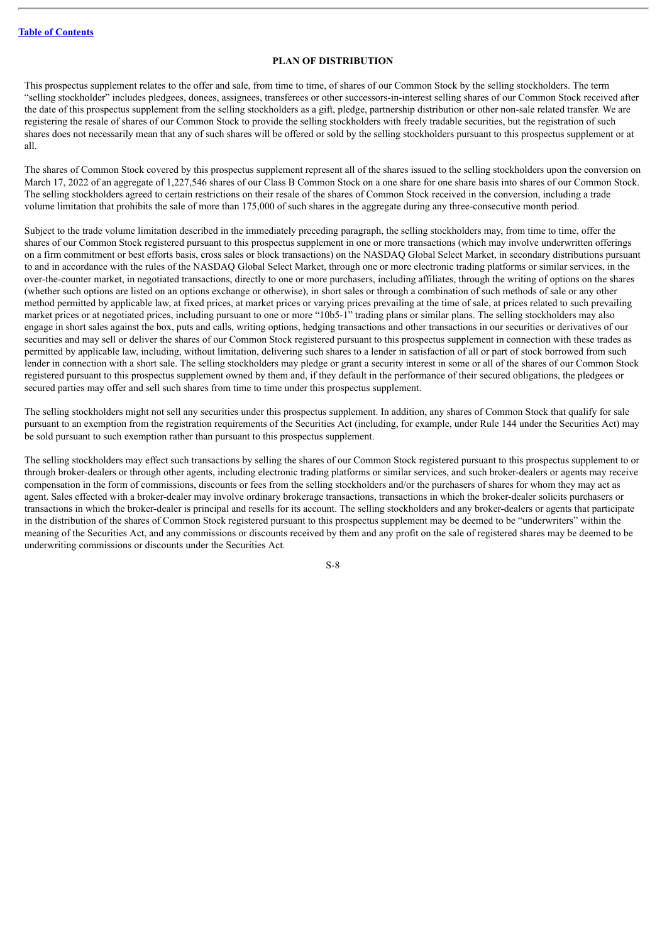### **PLAN OF DISTRIBUTION**

<span id="page-12-0"></span>This prospectus supplement relates to the offer and sale, from time to time, of shares of our Common Stock by the selling stockholders. The term "selling stockholder" includes pledgees, donees, assignees, transferees or other successors-in-interest selling shares of our Common Stock received after the date of this prospectus supplement from the selling stockholders as a gift, pledge, partnership distribution or other non-sale related transfer. We are registering the resale of shares of our Common Stock to provide the selling stockholders with freely tradable securities, but the registration of such shares does not necessarily mean that any of such shares will be offered or sold by the selling stockholders pursuant to this prospectus supplement or at all.

The shares of Common Stock covered by this prospectus supplement represent all of the shares issued to the selling stockholders upon the conversion on March 17, 2022 of an aggregate of 1,227,546 shares of our Class B Common Stock on a one share for one share basis into shares of our Common Stock. The selling stockholders agreed to certain restrictions on their resale of the shares of Common Stock received in the conversion, including a trade volume limitation that prohibits the sale of more than 175,000 of such shares in the aggregate during any three-consecutive month period.

Subject to the trade volume limitation described in the immediately preceding paragraph, the selling stockholders may, from time to time, offer the shares of our Common Stock registered pursuant to this prospectus supplement in one or more transactions (which may involve underwritten offerings on a firm commitment or best efforts basis, cross sales or block transactions) on the NASDAQ Global Select Market, in secondary distributions pursuant to and in accordance with the rules of the NASDAQ Global Select Market, through one or more electronic trading platforms or similar services, in the over-the-counter market, in negotiated transactions, directly to one or more purchasers, including affiliates, through the writing of options on the shares (whether such options are listed on an options exchange or otherwise), in short sales or through a combination of such methods of sale or any other method permitted by applicable law, at fixed prices, at market prices or varying prices prevailing at the time of sale, at prices related to such prevailing market prices or at negotiated prices, including pursuant to one or more "10b5-1" trading plans or similar plans. The selling stockholders may also engage in short sales against the box, puts and calls, writing options, hedging transactions and other transactions in our securities or derivatives of our securities and may sell or deliver the shares of our Common Stock registered pursuant to this prospectus supplement in connection with these trades as permitted by applicable law, including, without limitation, delivering such shares to a lender in satisfaction of all or part of stock borrowed from such lender in connection with a short sale. The selling stockholders may pledge or grant a security interest in some or all of the shares of our Common Stock registered pursuant to this prospectus supplement owned by them and, if they default in the performance of their secured obligations, the pledgees or secured parties may offer and sell such shares from time to time under this prospectus supplement.

The selling stockholders might not sell any securities under this prospectus supplement. In addition, any shares of Common Stock that qualify for sale pursuant to an exemption from the registration requirements of the Securities Act (including, for example, under Rule 144 under the Securities Act) may be sold pursuant to such exemption rather than pursuant to this prospectus supplement.

The selling stockholders may effect such transactions by selling the shares of our Common Stock registered pursuant to this prospectus supplement to or through broker-dealers or through other agents, including electronic trading platforms or similar services, and such broker-dealers or agents may receive compensation in the form of commissions, discounts or fees from the selling stockholders and/or the purchasers of shares for whom they may act as agent. Sales effected with a broker-dealer may involve ordinary brokerage transactions, transactions in which the broker-dealer solicits purchasers or transactions in which the broker-dealer is principal and resells for its account. The selling stockholders and any broker-dealers or agents that participate in the distribution of the shares of Common Stock registered pursuant to this prospectus supplement may be deemed to be "underwriters" within the meaning of the Securities Act, and any commissions or discounts received by them and any profit on the sale of registered shares may be deemed to be underwriting commissions or discounts under the Securities Act.

S-8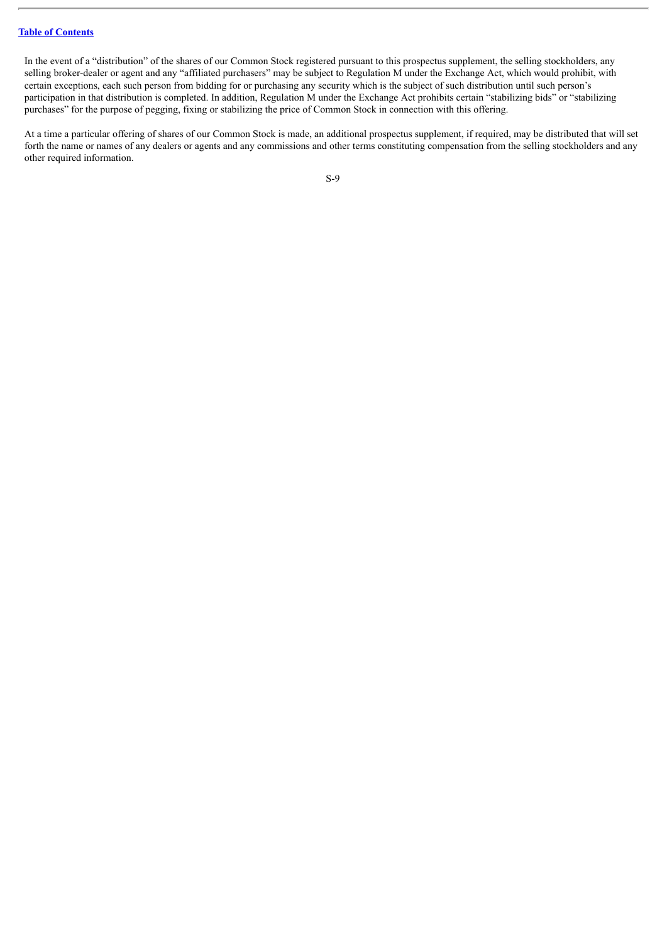In the event of a "distribution" of the shares of our Common Stock registered pursuant to this prospectus supplement, the selling stockholders, any selling broker-dealer or agent and any "affiliated purchasers" may be subject to Regulation M under the Exchange Act, which would prohibit, with certain exceptions, each such person from bidding for or purchasing any security which is the subject of such distribution until such person's participation in that distribution is completed. In addition, Regulation M under the Exchange Act prohibits certain "stabilizing bids" or "stabilizing purchases" for the purpose of pegging, fixing or stabilizing the price of Common Stock in connection with this offering.

At a time a particular offering of shares of our Common Stock is made, an additional prospectus supplement, if required, may be distributed that will set forth the name or names of any dealers or agents and any commissions and other terms constituting compensation from the selling stockholders and any other required information.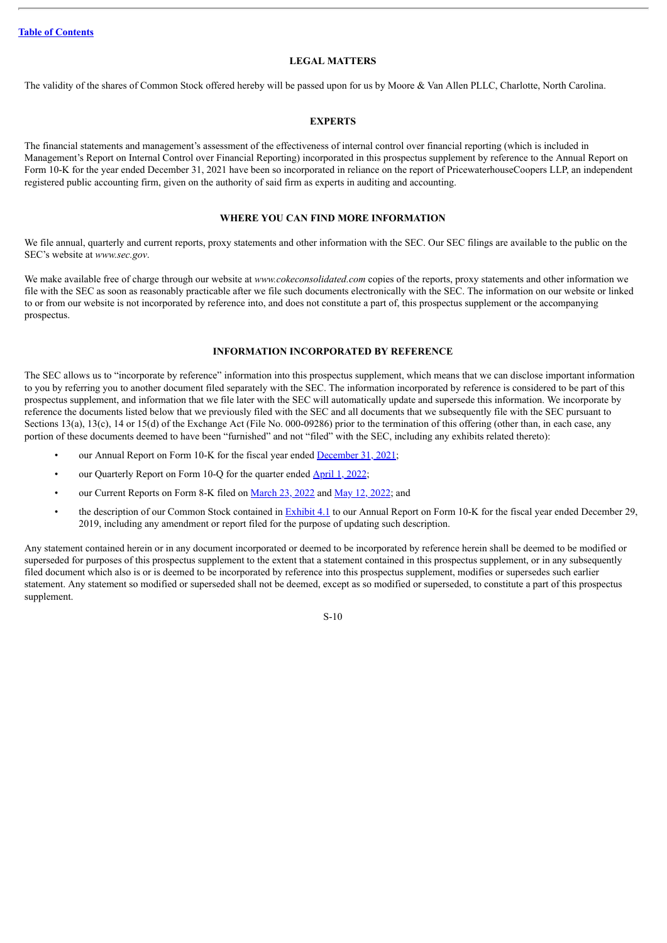### **LEGAL MATTERS**

<span id="page-14-0"></span>The validity of the shares of Common Stock offered hereby will be passed upon for us by Moore & Van Allen PLLC, Charlotte, North Carolina.

### **EXPERTS**

<span id="page-14-1"></span>The financial statements and management's assessment of the effectiveness of internal control over financial reporting (which is included in Management's Report on Internal Control over Financial Reporting) incorporated in this prospectus supplement by reference to the Annual Report on Form 10-K for the year ended December 31, 2021 have been so incorporated in reliance on the report of PricewaterhouseCoopers LLP, an independent registered public accounting firm, given on the authority of said firm as experts in auditing and accounting.

### **WHERE YOU CAN FIND MORE INFORMATION**

<span id="page-14-2"></span>We file annual, quarterly and current reports, proxy statements and other information with the SEC. Our SEC filings are available to the public on the SEC's website at *www.sec.gov*.

We make available free of charge through our website at *www.cokeconsolidated.com* copies of the reports, proxy statements and other information we file with the SEC as soon as reasonably practicable after we file such documents electronically with the SEC. The information on our website or linked to or from our website is not incorporated by reference into, and does not constitute a part of, this prospectus supplement or the accompanying prospectus.

### **INFORMATION INCORPORATED BY REFERENCE**

<span id="page-14-3"></span>The SEC allows us to "incorporate by reference" information into this prospectus supplement, which means that we can disclose important information to you by referring you to another document filed separately with the SEC. The information incorporated by reference is considered to be part of this prospectus supplement, and information that we file later with the SEC will automatically update and supersede this information. We incorporate by reference the documents listed below that we previously filed with the SEC and all documents that we subsequently file with the SEC pursuant to Sections 13(a), 13(c), 14 or 15(d) of the Exchange Act (File No. 000-09286) prior to the termination of this offering (other than, in each case, any portion of these documents deemed to have been "furnished" and not "filed" with the SEC, including any exhibits related thereto):

- our Annual Report on Form 10-K for the fiscal year ended [December](http://www.sec.gov/ix?doc=/Archives/edgar/data/317540/000031754022000009/coke-20211231.htm) 31, 2021;
- our Quarterly Report on Form 10-O for the quarter ended [April](http://www.sec.gov/ix?doc=/Archives/edgar/data/317540/000031754022000024/coke-20220401.htm) 1, 2022;
- our Current Reports on Form 8-K filed on [March](http://www.sec.gov/ix?doc=/Archives/edgar/data/317540/000119312522082770/d248978d8k.htm) 23, [2022](http://www.sec.gov/ix?doc=/Archives/edgar/data/317540/000031754022000026/coke-20220510.htm) and May 12, 2022; and
- the description of our Common Stock contained in [Exhibit](http://www.sec.gov/Archives/edgar/data/317540/000156459020006432/coke-ex41_564.htm) 4.1 to our Annual Report on Form 10-K for the fiscal year ended December 29, 2019, including any amendment or report filed for the purpose of updating such description.

Any statement contained herein or in any document incorporated or deemed to be incorporated by reference herein shall be deemed to be modified or superseded for purposes of this prospectus supplement to the extent that a statement contained in this prospectus supplement, or in any subsequently filed document which also is or is deemed to be incorporated by reference into this prospectus supplement, modifies or supersedes such earlier statement. Any statement so modified or superseded shall not be deemed, except as so modified or superseded, to constitute a part of this prospectus supplement.

S-10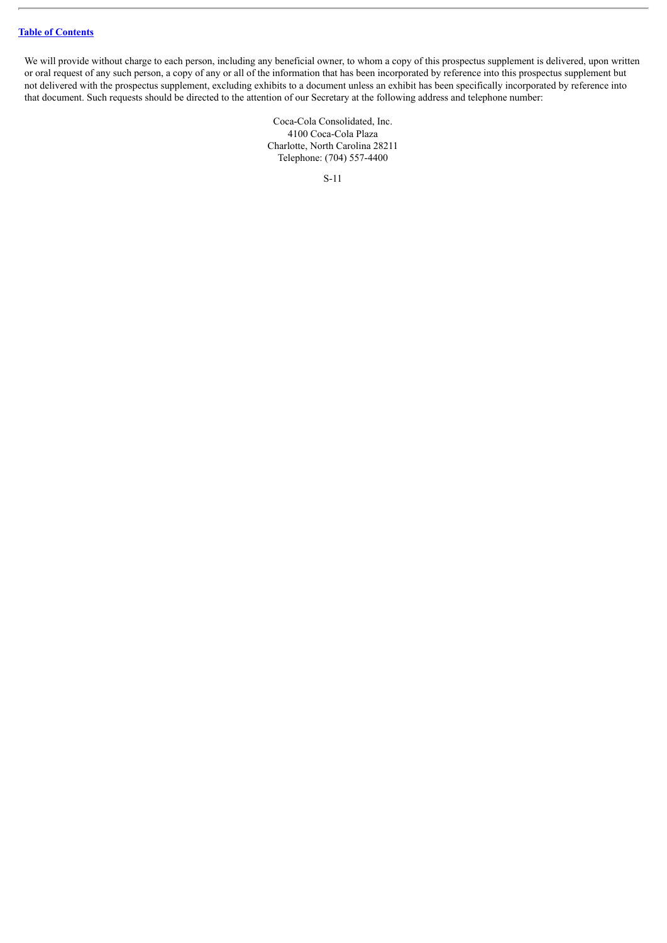We will provide without charge to each person, including any beneficial owner, to whom a copy of this prospectus supplement is delivered, upon written or oral request of any such person, a copy of any or all of the information that has been incorporated by reference into this prospectus supplement but not delivered with the prospectus supplement, excluding exhibits to a document unless an exhibit has been specifically incorporated by reference into that document. Such requests should be directed to the attention of our Secretary at the following address and telephone number:

> Coca-Cola Consolidated, Inc. 4100 Coca-Cola Plaza Charlotte, North Carolina 28211 Telephone: (704) 557-4400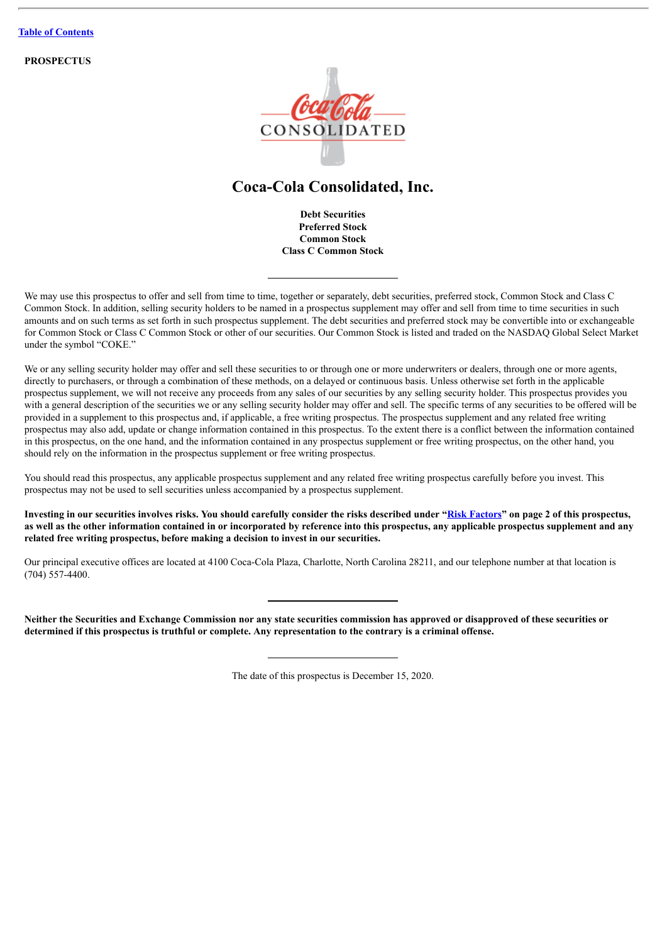**PROSPECTUS**



### **Coca-Cola Consolidated, Inc.**

**Debt Securities Preferred Stock Common Stock Class C Common Stock**

We may use this prospectus to offer and sell from time to time, together or separately, debt securities, preferred stock, Common Stock and Class C Common Stock. In addition, selling security holders to be named in a prospectus supplement may offer and sell from time to time securities in such amounts and on such terms as set forth in such prospectus supplement. The debt securities and preferred stock may be convertible into or exchangeable for Common Stock or Class C Common Stock or other of our securities. Our Common Stock is listed and traded on the NASDAQ Global Select Market under the symbol "COKE."

We or any selling security holder may offer and sell these securities to or through one or more underwriters or dealers, through one or more agents, directly to purchasers, or through a combination of these methods, on a delayed or continuous basis. Unless otherwise set forth in the applicable prospectus supplement, we will not receive any proceeds from any sales of our securities by any selling security holder. This prospectus provides you with a general description of the securities we or any selling security holder may offer and sell. The specific terms of any securities to be offered will be provided in a supplement to this prospectus and, if applicable, a free writing prospectus. The prospectus supplement and any related free writing prospectus may also add, update or change information contained in this prospectus. To the extent there is a conflict between the information contained in this prospectus, on the one hand, and the information contained in any prospectus supplement or free writing prospectus, on the other hand, you should rely on the information in the prospectus supplement or free writing prospectus.

You should read this prospectus, any applicable prospectus supplement and any related free writing prospectus carefully before you invest. This prospectus may not be used to sell securities unless accompanied by a prospectus supplement.

Investing in our securities involves risks. You should carefully consider the risks described under "Risk [Factors"](#page-19-0) on page 2 of this prospectus, as well as the other information contained in or incorporated by reference into this prospectus, any applicable prospectus supplement and any **related free writing prospectus, before making a decision to invest in our securities.**

Our principal executive offices are located at 4100 Coca-Cola Plaza, Charlotte, North Carolina 28211, and our telephone number at that location is (704) 557-4400.

Neither the Securities and Exchange Commission nor any state securities commission has approved or disapproved of these securities or determined if this prospectus is truthful or complete. Any representation to the contrary is a criminal offense.

The date of this prospectus is December 15, 2020.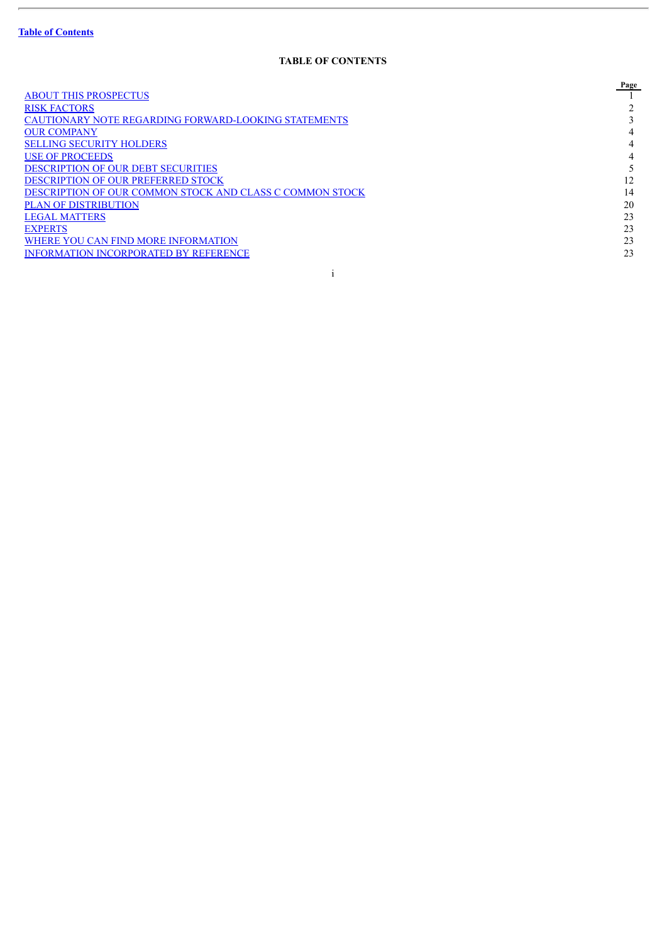$\overline{a}$ 

### **TABLE OF CONTENTS**

|                                                             | Page |
|-------------------------------------------------------------|------|
| <b>ABOUT THIS PROSPECTUS</b>                                |      |
| <b>RISK FACTORS</b>                                         |      |
| <b>CAUTIONARY NOTE REGARDING FORWARD-LOOKING STATEMENTS</b> |      |
| <b>OUR COMPANY</b>                                          |      |
| <b>SELLING SECURITY HOLDERS</b>                             |      |
| <b>USE OF PROCEEDS</b>                                      |      |
| <b>DESCRIPTION OF OUR DEBT SECURITIES</b>                   |      |
| DESCRIPTION OF OUR PREFERRED STOCK                          | 12   |
| DESCRIPTION OF OUR COMMON STOCK AND CLASS C COMMON STOCK    | 14   |
| <b>PLAN OF DISTRIBUTION</b>                                 | 20   |
| <b>LEGAL MATTERS</b>                                        | 23   |
| <b>EXPERTS</b>                                              | 23   |
| WHERE YOU CAN FIND MORE INFORMATION                         | 23   |
| <b>INFORMATION INCORPORATED BY REFERENCE</b>                | 23   |
|                                                             |      |

i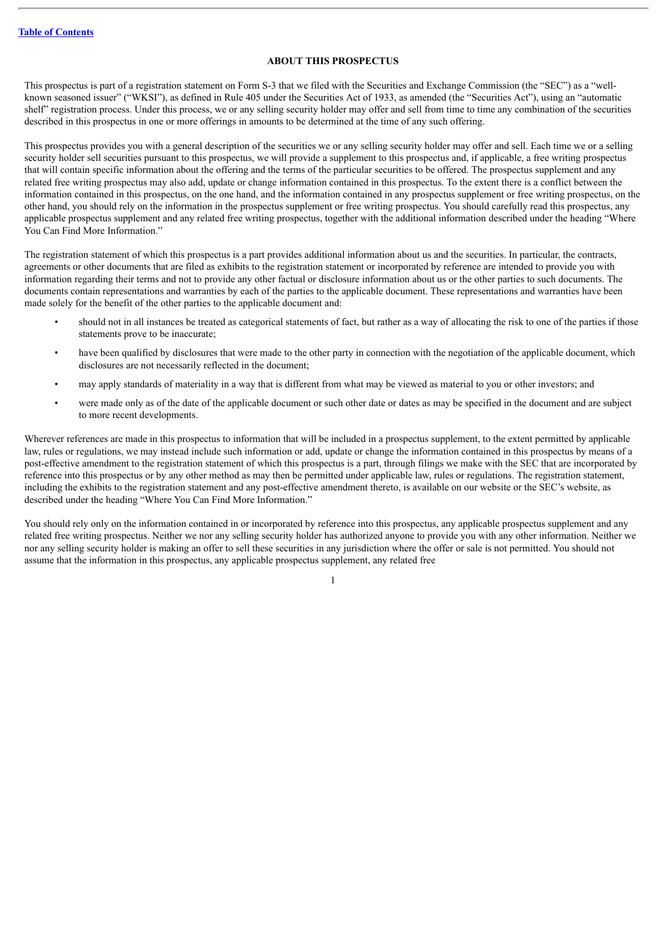### **ABOUT THIS PROSPECTUS**

<span id="page-18-0"></span>This prospectus is part of a registration statement on Form S-3 that we filed with the Securities and Exchange Commission (the "SEC") as a "wellknown seasoned issuer" ("WKSI"), as defined in Rule 405 under the Securities Act of 1933, as amended (the "Securities Act"), using an "automatic shelf" registration process. Under this process, we or any selling security holder may offer and sell from time to time any combination of the securities described in this prospectus in one or more offerings in amounts to be determined at the time of any such offering.

This prospectus provides you with a general description of the securities we or any selling security holder may offer and sell. Each time we or a selling security holder sell securities pursuant to this prospectus, we will provide a supplement to this prospectus and, if applicable, a free writing prospectus that will contain specific information about the offering and the terms of the particular securities to be offered. The prospectus supplement and any related free writing prospectus may also add, update or change information contained in this prospectus. To the extent there is a conflict between the information contained in this prospectus, on the one hand, and the information contained in any prospectus supplement or free writing prospectus, on the other hand, you should rely on the information in the prospectus supplement or free writing prospectus. You should carefully read this prospectus, any applicable prospectus supplement and any related free writing prospectus, together with the additional information described under the heading "Where You Can Find More Information."

The registration statement of which this prospectus is a part provides additional information about us and the securities. In particular, the contracts, agreements or other documents that are filed as exhibits to the registration statement or incorporated by reference are intended to provide you with information regarding their terms and not to provide any other factual or disclosure information about us or the other parties to such documents. The documents contain representations and warranties by each of the parties to the applicable document. These representations and warranties have been made solely for the benefit of the other parties to the applicable document and:

- should not in all instances be treated as categorical statements of fact, but rather as a way of allocating the risk to one of the parties if those statements prove to be inaccurate;
- have been qualified by disclosures that were made to the other party in connection with the negotiation of the applicable document, which disclosures are not necessarily reflected in the document;
- may apply standards of materiality in a way that is different from what may be viewed as material to you or other investors; and
- were made only as of the date of the applicable document or such other date or dates as may be specified in the document and are subject to more recent developments.

Wherever references are made in this prospectus to information that will be included in a prospectus supplement, to the extent permitted by applicable law, rules or regulations, we may instead include such information or add, update or change the information contained in this prospectus by means of a post-effective amendment to the registration statement of which this prospectus is a part, through filings we make with the SEC that are incorporated by reference into this prospectus or by any other method as may then be permitted under applicable law, rules or regulations. The registration statement, including the exhibits to the registration statement and any post-effective amendment thereto, is available on our website or the SEC's website, as described under the heading "Where You Can Find More Information."

You should rely only on the information contained in or incorporated by reference into this prospectus, any applicable prospectus supplement and any related free writing prospectus. Neither we nor any selling security holder has authorized anyone to provide you with any other information. Neither we nor any selling security holder is making an offer to sell these securities in any jurisdiction where the offer or sale is not permitted. You should not assume that the information in this prospectus, any applicable prospectus supplement, any related free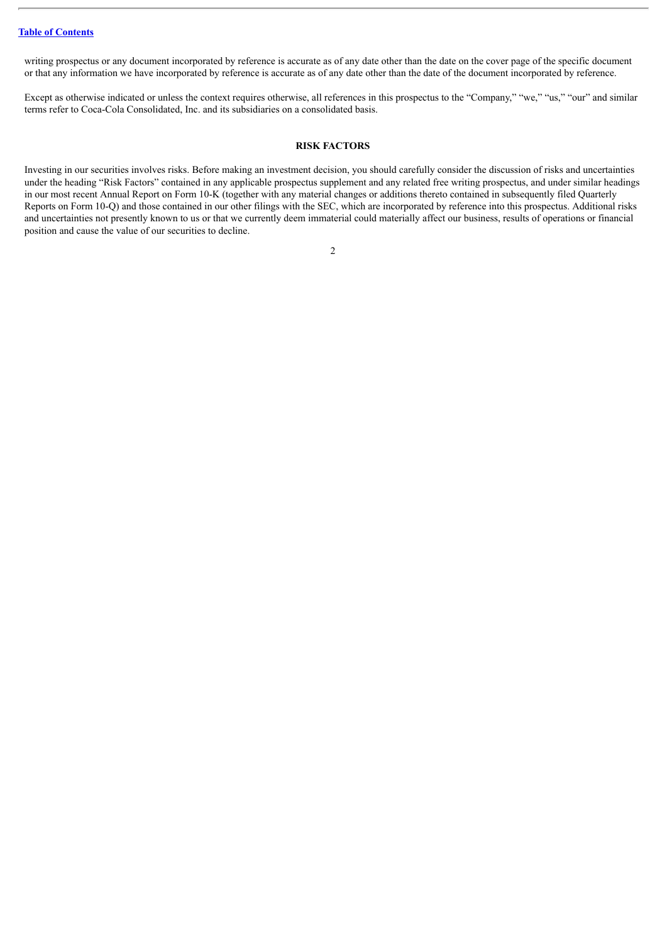writing prospectus or any document incorporated by reference is accurate as of any date other than the date on the cover page of the specific document or that any information we have incorporated by reference is accurate as of any date other than the date of the document incorporated by reference.

Except as otherwise indicated or unless the context requires otherwise, all references in this prospectus to the "Company," "we," "us," "our" and similar terms refer to Coca-Cola Consolidated, Inc. and its subsidiaries on a consolidated basis.

### **RISK FACTORS**

<span id="page-19-0"></span>Investing in our securities involves risks. Before making an investment decision, you should carefully consider the discussion of risks and uncertainties under the heading "Risk Factors" contained in any applicable prospectus supplement and any related free writing prospectus, and under similar headings in our most recent Annual Report on Form 10-K (together with any material changes or additions thereto contained in subsequently filed Quarterly Reports on Form 10-Q) and those contained in our other filings with the SEC, which are incorporated by reference into this prospectus. Additional risks and uncertainties not presently known to us or that we currently deem immaterial could materially affect our business, results of operations or financial position and cause the value of our securities to decline.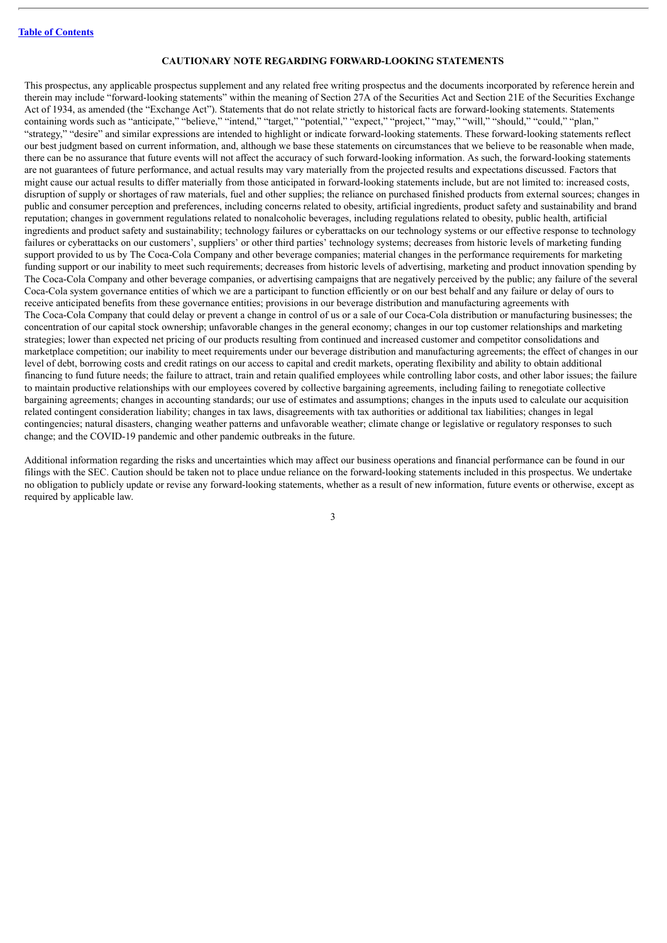### **CAUTIONARY NOTE REGARDING FORWARD-LOOKING STATEMENTS**

<span id="page-20-0"></span>This prospectus, any applicable prospectus supplement and any related free writing prospectus and the documents incorporated by reference herein and therein may include "forward-looking statements" within the meaning of Section 27A of the Securities Act and Section 21E of the Securities Exchange Act of 1934, as amended (the "Exchange Act"). Statements that do not relate strictly to historical facts are forward-looking statements. Statements containing words such as "anticipate," "believe," "intend," "target," "potential," "expect," "project," "may," "will," "should," "could," "plan," "strategy," "desire" and similar expressions are intended to highlight or indicate forward-looking statements. These forward-looking statements reflect our best judgment based on current information, and, although we base these statements on circumstances that we believe to be reasonable when made, there can be no assurance that future events will not affect the accuracy of such forward-looking information. As such, the forward-looking statements are not guarantees of future performance, and actual results may vary materially from the projected results and expectations discussed. Factors that might cause our actual results to differ materially from those anticipated in forward-looking statements include, but are not limited to: increased costs, disruption of supply or shortages of raw materials, fuel and other supplies; the reliance on purchased finished products from external sources; changes in public and consumer perception and preferences, including concerns related to obesity, artificial ingredients, product safety and sustainability and brand reputation; changes in government regulations related to nonalcoholic beverages, including regulations related to obesity, public health, artificial ingredients and product safety and sustainability; technology failures or cyberattacks on our technology systems or our effective response to technology failures or cyberattacks on our customers', suppliers' or other third parties' technology systems; decreases from historic levels of marketing funding support provided to us by The Coca-Cola Company and other beverage companies; material changes in the performance requirements for marketing funding support or our inability to meet such requirements; decreases from historic levels of advertising, marketing and product innovation spending by The Coca-Cola Company and other beverage companies, or advertising campaigns that are negatively perceived by the public; any failure of the several Coca-Cola system governance entities of which we are a participant to function efficiently or on our best behalf and any failure or delay of ours to receive anticipated benefits from these governance entities; provisions in our beverage distribution and manufacturing agreements with The Coca-Cola Company that could delay or prevent a change in control of us or a sale of our Coca-Cola distribution or manufacturing businesses; the concentration of our capital stock ownership; unfavorable changes in the general economy; changes in our top customer relationships and marketing strategies; lower than expected net pricing of our products resulting from continued and increased customer and competitor consolidations and marketplace competition; our inability to meet requirements under our beverage distribution and manufacturing agreements; the effect of changes in our level of debt, borrowing costs and credit ratings on our access to capital and credit markets, operating flexibility and ability to obtain additional financing to fund future needs; the failure to attract, train and retain qualified employees while controlling labor costs, and other labor issues; the failure to maintain productive relationships with our employees covered by collective bargaining agreements, including failing to renegotiate collective bargaining agreements; changes in accounting standards; our use of estimates and assumptions; changes in the inputs used to calculate our acquisition related contingent consideration liability; changes in tax laws, disagreements with tax authorities or additional tax liabilities; changes in legal contingencies; natural disasters, changing weather patterns and unfavorable weather; climate change or legislative or regulatory responses to such change; and the COVID-19 pandemic and other pandemic outbreaks in the future.

Additional information regarding the risks and uncertainties which may affect our business operations and financial performance can be found in our filings with the SEC. Caution should be taken not to place undue reliance on the forward-looking statements included in this prospectus. We undertake no obligation to publicly update or revise any forward-looking statements, whether as a result of new information, future events or otherwise, except as required by applicable law.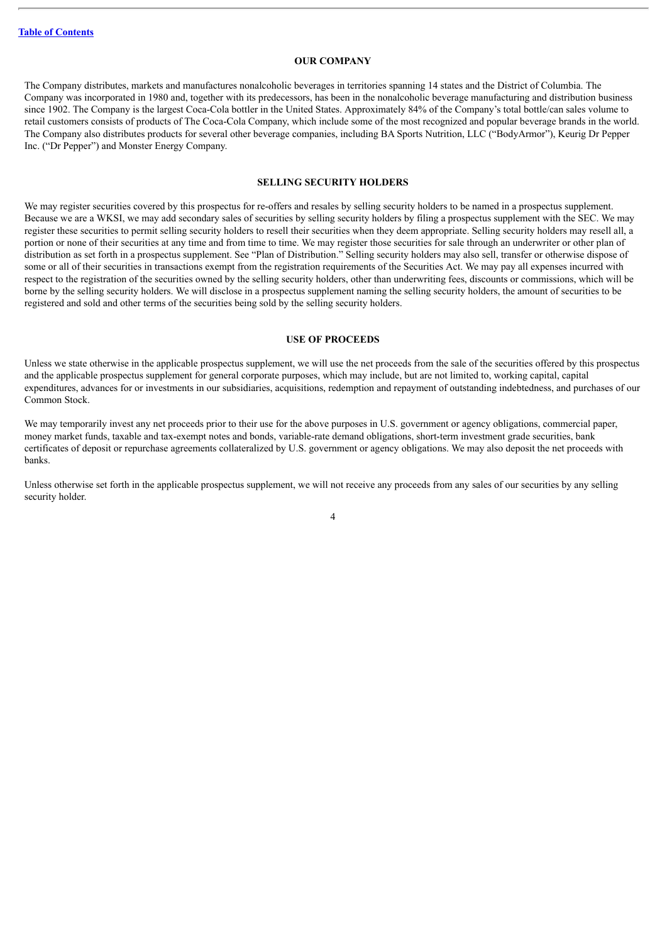### **OUR COMPANY**

<span id="page-21-0"></span>The Company distributes, markets and manufactures nonalcoholic beverages in territories spanning 14 states and the District of Columbia. The Company was incorporated in 1980 and, together with its predecessors, has been in the nonalcoholic beverage manufacturing and distribution business since 1902. The Company is the largest Coca-Cola bottler in the United States. Approximately 84% of the Company's total bottle/can sales volume to retail customers consists of products of The Coca-Cola Company, which include some of the most recognized and popular beverage brands in the world. The Company also distributes products for several other beverage companies, including BA Sports Nutrition, LLC ("BodyArmor"), Keurig Dr Pepper Inc. ("Dr Pepper") and Monster Energy Company.

### **SELLING SECURITY HOLDERS**

<span id="page-21-1"></span>We may register securities covered by this prospectus for re-offers and resales by selling security holders to be named in a prospectus supplement. Because we are a WKSI, we may add secondary sales of securities by selling security holders by filing a prospectus supplement with the SEC. We may register these securities to permit selling security holders to resell their securities when they deem appropriate. Selling security holders may resell all, a portion or none of their securities at any time and from time to time. We may register those securities for sale through an underwriter or other plan of distribution as set forth in a prospectus supplement. See "Plan of Distribution." Selling security holders may also sell, transfer or otherwise dispose of some or all of their securities in transactions exempt from the registration requirements of the Securities Act. We may pay all expenses incurred with respect to the registration of the securities owned by the selling security holders, other than underwriting fees, discounts or commissions, which will be borne by the selling security holders. We will disclose in a prospectus supplement naming the selling security holders, the amount of securities to be registered and sold and other terms of the securities being sold by the selling security holders.

#### **USE OF PROCEEDS**

<span id="page-21-2"></span>Unless we state otherwise in the applicable prospectus supplement, we will use the net proceeds from the sale of the securities offered by this prospectus and the applicable prospectus supplement for general corporate purposes, which may include, but are not limited to, working capital, capital expenditures, advances for or investments in our subsidiaries, acquisitions, redemption and repayment of outstanding indebtedness, and purchases of our Common Stock.

We may temporarily invest any net proceeds prior to their use for the above purposes in U.S. government or agency obligations, commercial paper, money market funds, taxable and tax-exempt notes and bonds, variable-rate demand obligations, short-term investment grade securities, bank certificates of deposit or repurchase agreements collateralized by U.S. government or agency obligations. We may also deposit the net proceeds with banks.

Unless otherwise set forth in the applicable prospectus supplement, we will not receive any proceeds from any sales of our securities by any selling security holder.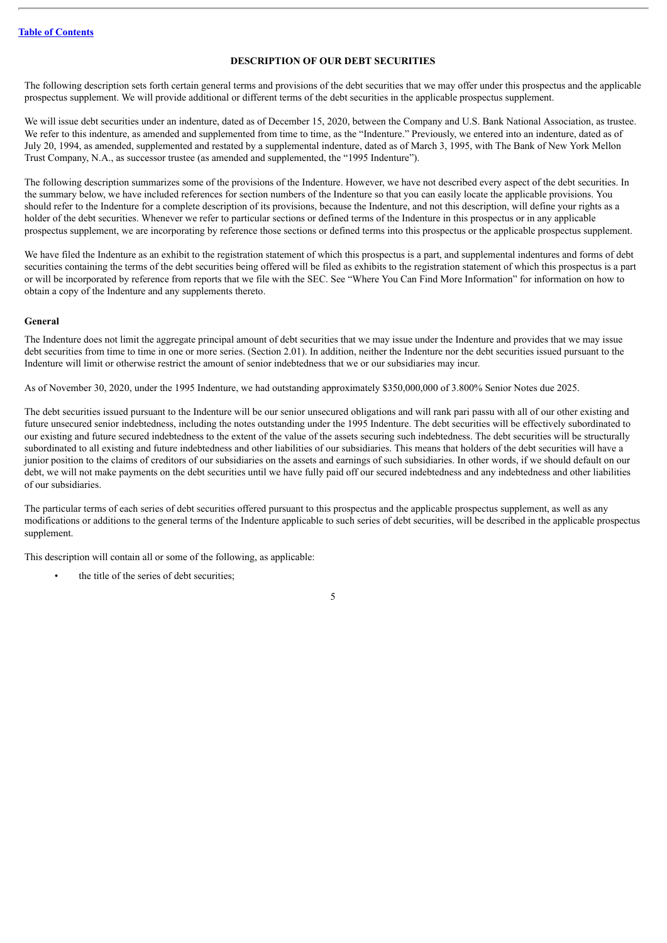### **DESCRIPTION OF OUR DEBT SECURITIES**

<span id="page-22-0"></span>The following description sets forth certain general terms and provisions of the debt securities that we may offer under this prospectus and the applicable prospectus supplement. We will provide additional or different terms of the debt securities in the applicable prospectus supplement.

We will issue debt securities under an indenture, dated as of December 15, 2020, between the Company and U.S. Bank National Association, as trustee. We refer to this indenture, as amended and supplemented from time to time, as the "Indenture." Previously, we entered into an indenture, dated as of July 20, 1994, as amended, supplemented and restated by a supplemental indenture, dated as of March 3, 1995, with The Bank of New York Mellon Trust Company, N.A., as successor trustee (as amended and supplemented, the "1995 Indenture").

The following description summarizes some of the provisions of the Indenture. However, we have not described every aspect of the debt securities. In the summary below, we have included references for section numbers of the Indenture so that you can easily locate the applicable provisions. You should refer to the Indenture for a complete description of its provisions, because the Indenture, and not this description, will define your rights as a holder of the debt securities. Whenever we refer to particular sections or defined terms of the Indenture in this prospectus or in any applicable prospectus supplement, we are incorporating by reference those sections or defined terms into this prospectus or the applicable prospectus supplement.

We have filed the Indenture as an exhibit to the registration statement of which this prospectus is a part, and supplemental indentures and forms of debt securities containing the terms of the debt securities being offered will be filed as exhibits to the registration statement of which this prospectus is a part or will be incorporated by reference from reports that we file with the SEC. See "Where You Can Find More Information" for information on how to obtain a copy of the Indenture and any supplements thereto.

### **General**

The Indenture does not limit the aggregate principal amount of debt securities that we may issue under the Indenture and provides that we may issue debt securities from time to time in one or more series. (Section 2.01). In addition, neither the Indenture nor the debt securities issued pursuant to the Indenture will limit or otherwise restrict the amount of senior indebtedness that we or our subsidiaries may incur.

As of November 30, 2020, under the 1995 Indenture, we had outstanding approximately \$350,000,000 of 3.800% Senior Notes due 2025.

The debt securities issued pursuant to the Indenture will be our senior unsecured obligations and will rank pari passu with all of our other existing and future unsecured senior indebtedness, including the notes outstanding under the 1995 Indenture. The debt securities will be effectively subordinated to our existing and future secured indebtedness to the extent of the value of the assets securing such indebtedness. The debt securities will be structurally subordinated to all existing and future indebtedness and other liabilities of our subsidiaries. This means that holders of the debt securities will have a junior position to the claims of creditors of our subsidiaries on the assets and earnings of such subsidiaries. In other words, if we should default on our debt, we will not make payments on the debt securities until we have fully paid off our secured indebtedness and any indebtedness and other liabilities of our subsidiaries.

The particular terms of each series of debt securities offered pursuant to this prospectus and the applicable prospectus supplement, as well as any modifications or additions to the general terms of the Indenture applicable to such series of debt securities, will be described in the applicable prospectus supplement.

This description will contain all or some of the following, as applicable:

the title of the series of debt securities;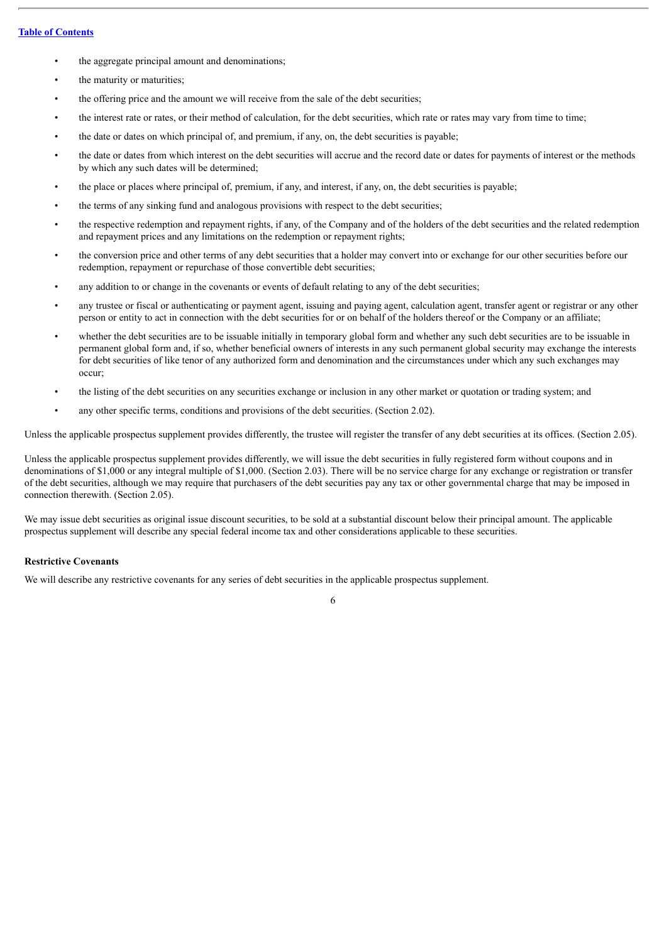- the aggregate principal amount and denominations;
- the maturity or maturities;
- the offering price and the amount we will receive from the sale of the debt securities;
- the interest rate or rates, or their method of calculation, for the debt securities, which rate or rates may vary from time to time;
- the date or dates on which principal of, and premium, if any, on, the debt securities is payable;
- the date or dates from which interest on the debt securities will accrue and the record date or dates for payments of interest or the methods by which any such dates will be determined;
- the place or places where principal of, premium, if any, and interest, if any, on, the debt securities is payable;
- the terms of any sinking fund and analogous provisions with respect to the debt securities;
- the respective redemption and repayment rights, if any, of the Company and of the holders of the debt securities and the related redemption and repayment prices and any limitations on the redemption or repayment rights;
- the conversion price and other terms of any debt securities that a holder may convert into or exchange for our other securities before our redemption, repayment or repurchase of those convertible debt securities;
- any addition to or change in the covenants or events of default relating to any of the debt securities;
- any trustee or fiscal or authenticating or payment agent, issuing and paying agent, calculation agent, transfer agent or registrar or any other person or entity to act in connection with the debt securities for or on behalf of the holders thereof or the Company or an affiliate;
- whether the debt securities are to be issuable initially in temporary global form and whether any such debt securities are to be issuable in permanent global form and, if so, whether beneficial owners of interests in any such permanent global security may exchange the interests for debt securities of like tenor of any authorized form and denomination and the circumstances under which any such exchanges may occur;
- the listing of the debt securities on any securities exchange or inclusion in any other market or quotation or trading system; and
- any other specific terms, conditions and provisions of the debt securities. (Section 2.02).

Unless the applicable prospectus supplement provides differently, the trustee will register the transfer of any debt securities at its offices. (Section 2.05).

Unless the applicable prospectus supplement provides differently, we will issue the debt securities in fully registered form without coupons and in denominations of \$1,000 or any integral multiple of \$1,000. (Section 2.03). There will be no service charge for any exchange or registration or transfer of the debt securities, although we may require that purchasers of the debt securities pay any tax or other governmental charge that may be imposed in connection therewith. (Section 2.05).

We may issue debt securities as original issue discount securities, to be sold at a substantial discount below their principal amount. The applicable prospectus supplement will describe any special federal income tax and other considerations applicable to these securities.

### **Restrictive Covenants**

We will describe any restrictive covenants for any series of debt securities in the applicable prospectus supplement.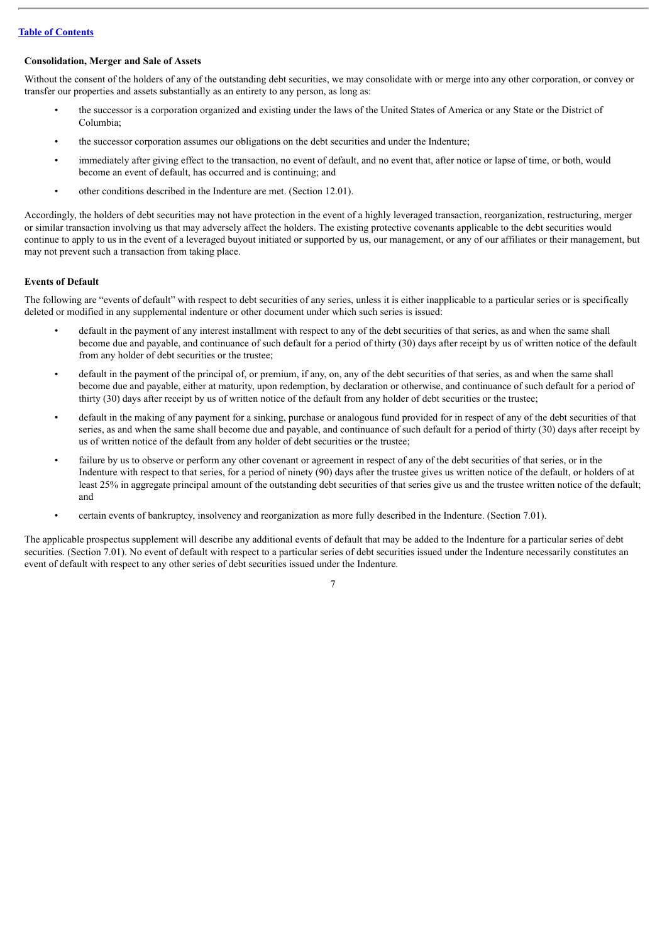### **Consolidation, Merger and Sale of Assets**

Without the consent of the holders of any of the outstanding debt securities, we may consolidate with or merge into any other corporation, or convey or transfer our properties and assets substantially as an entirety to any person, as long as:

- the successor is a corporation organized and existing under the laws of the United States of America or any State or the District of Columbia;
- the successor corporation assumes our obligations on the debt securities and under the Indenture;
- immediately after giving effect to the transaction, no event of default, and no event that, after notice or lapse of time, or both, would become an event of default, has occurred and is continuing; and
- other conditions described in the Indenture are met. (Section 12.01).

Accordingly, the holders of debt securities may not have protection in the event of a highly leveraged transaction, reorganization, restructuring, merger or similar transaction involving us that may adversely affect the holders. The existing protective covenants applicable to the debt securities would continue to apply to us in the event of a leveraged buyout initiated or supported by us, our management, or any of our affiliates or their management, but may not prevent such a transaction from taking place.

### **Events of Default**

The following are "events of default" with respect to debt securities of any series, unless it is either inapplicable to a particular series or is specifically deleted or modified in any supplemental indenture or other document under which such series is issued:

- default in the payment of any interest installment with respect to any of the debt securities of that series, as and when the same shall become due and payable, and continuance of such default for a period of thirty (30) days after receipt by us of written notice of the default from any holder of debt securities or the trustee;
- default in the payment of the principal of, or premium, if any, on, any of the debt securities of that series, as and when the same shall become due and payable, either at maturity, upon redemption, by declaration or otherwise, and continuance of such default for a period of thirty (30) days after receipt by us of written notice of the default from any holder of debt securities or the trustee;
- default in the making of any payment for a sinking, purchase or analogous fund provided for in respect of any of the debt securities of that series, as and when the same shall become due and payable, and continuance of such default for a period of thirty (30) days after receipt by us of written notice of the default from any holder of debt securities or the trustee;
- failure by us to observe or perform any other covenant or agreement in respect of any of the debt securities of that series, or in the Indenture with respect to that series, for a period of ninety (90) days after the trustee gives us written notice of the default, or holders of at least 25% in aggregate principal amount of the outstanding debt securities of that series give us and the trustee written notice of the default; and
- certain events of bankruptcy, insolvency and reorganization as more fully described in the Indenture. (Section 7.01).

The applicable prospectus supplement will describe any additional events of default that may be added to the Indenture for a particular series of debt securities. (Section 7.01). No event of default with respect to a particular series of debt securities issued under the Indenture necessarily constitutes an event of default with respect to any other series of debt securities issued under the Indenture.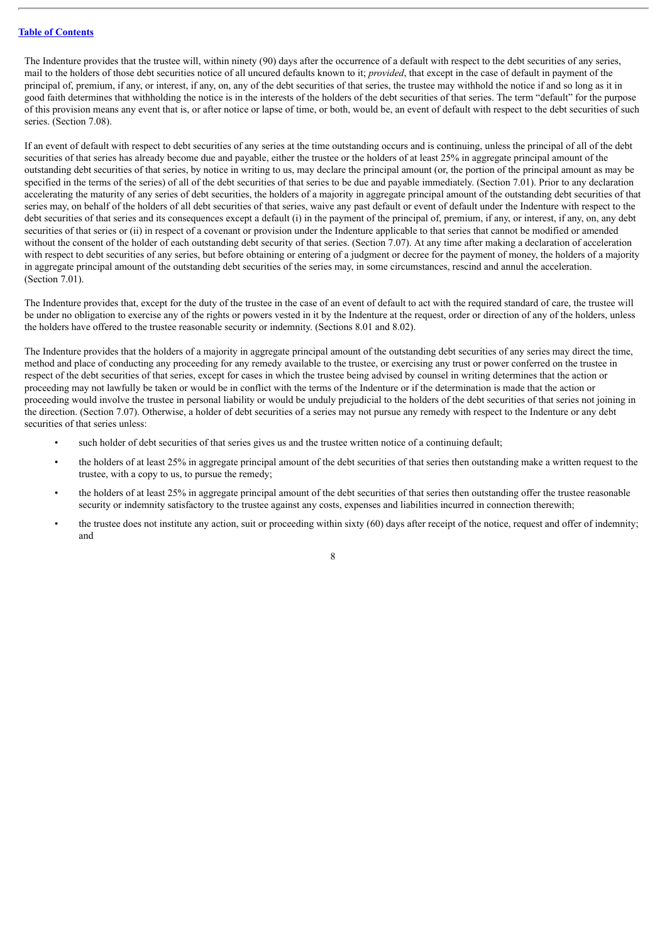The Indenture provides that the trustee will, within ninety (90) days after the occurrence of a default with respect to the debt securities of any series, mail to the holders of those debt securities notice of all uncured defaults known to it; *provided*, that except in the case of default in payment of the principal of, premium, if any, or interest, if any, on, any of the debt securities of that series, the trustee may withhold the notice if and so long as it in good faith determines that withholding the notice is in the interests of the holders of the debt securities of that series. The term "default" for the purpose of this provision means any event that is, or after notice or lapse of time, or both, would be, an event of default with respect to the debt securities of such series. (Section 7.08).

If an event of default with respect to debt securities of any series at the time outstanding occurs and is continuing, unless the principal of all of the debt securities of that series has already become due and payable, either the trustee or the holders of at least 25% in aggregate principal amount of the outstanding debt securities of that series, by notice in writing to us, may declare the principal amount (or, the portion of the principal amount as may be specified in the terms of the series) of all of the debt securities of that series to be due and payable immediately. (Section 7.01). Prior to any declaration accelerating the maturity of any series of debt securities, the holders of a majority in aggregate principal amount of the outstanding debt securities of that series may, on behalf of the holders of all debt securities of that series, waive any past default or event of default under the Indenture with respect to the debt securities of that series and its consequences except a default (i) in the payment of the principal of, premium, if any, or interest, if any, on, any debt securities of that series or (ii) in respect of a covenant or provision under the Indenture applicable to that series that cannot be modified or amended without the consent of the holder of each outstanding debt security of that series. (Section 7.07). At any time after making a declaration of acceleration with respect to debt securities of any series, but before obtaining or entering of a judgment or decree for the payment of money, the holders of a majority in aggregate principal amount of the outstanding debt securities of the series may, in some circumstances, rescind and annul the acceleration. (Section 7.01).

The Indenture provides that, except for the duty of the trustee in the case of an event of default to act with the required standard of care, the trustee will be under no obligation to exercise any of the rights or powers vested in it by the Indenture at the request, order or direction of any of the holders, unless the holders have offered to the trustee reasonable security or indemnity. (Sections 8.01 and 8.02).

The Indenture provides that the holders of a majority in aggregate principal amount of the outstanding debt securities of any series may direct the time, method and place of conducting any proceeding for any remedy available to the trustee, or exercising any trust or power conferred on the trustee in respect of the debt securities of that series, except for cases in which the trustee being advised by counsel in writing determines that the action or proceeding may not lawfully be taken or would be in conflict with the terms of the Indenture or if the determination is made that the action or proceeding would involve the trustee in personal liability or would be unduly prejudicial to the holders of the debt securities of that series not joining in the direction. (Section 7.07). Otherwise, a holder of debt securities of a series may not pursue any remedy with respect to the Indenture or any debt securities of that series unless:

- such holder of debt securities of that series gives us and the trustee written notice of a continuing default;
- the holders of at least 25% in aggregate principal amount of the debt securities of that series then outstanding make a written request to the trustee, with a copy to us, to pursue the remedy;
- the holders of at least 25% in aggregate principal amount of the debt securities of that series then outstanding offer the trustee reasonable security or indemnity satisfactory to the trustee against any costs, expenses and liabilities incurred in connection therewith;
- the trustee does not institute any action, suit or proceeding within sixty (60) days after receipt of the notice, request and offer of indemnity; and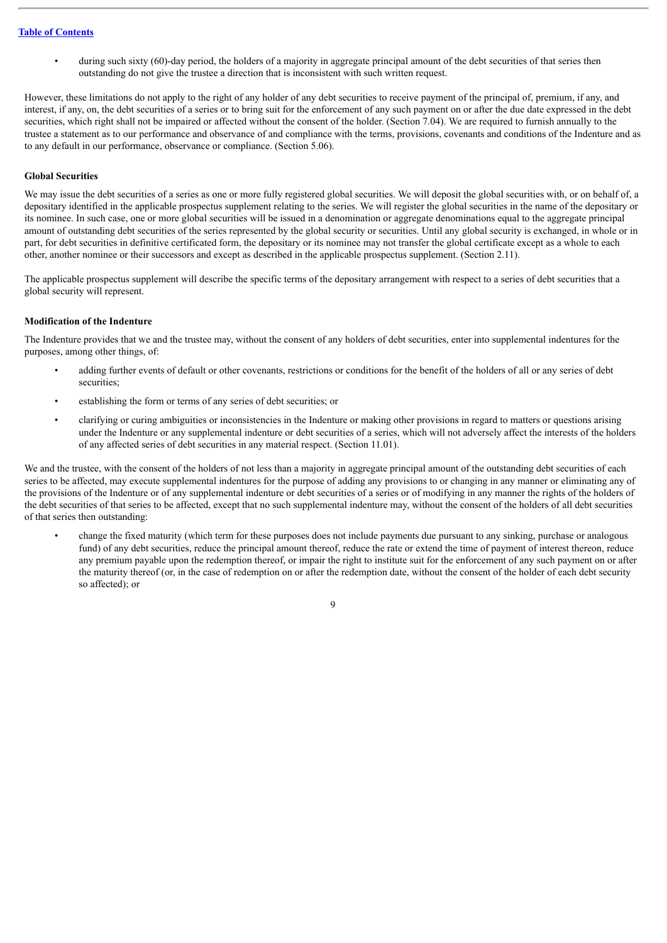during such sixty (60)-day period, the holders of a majority in aggregate principal amount of the debt securities of that series then outstanding do not give the trustee a direction that is inconsistent with such written request.

However, these limitations do not apply to the right of any holder of any debt securities to receive payment of the principal of, premium, if any, and interest, if any, on, the debt securities of a series or to bring suit for the enforcement of any such payment on or after the due date expressed in the debt securities, which right shall not be impaired or affected without the consent of the holder. (Section 7.04). We are required to furnish annually to the trustee a statement as to our performance and observance of and compliance with the terms, provisions, covenants and conditions of the Indenture and as to any default in our performance, observance or compliance. (Section 5.06).

### **Global Securities**

We may issue the debt securities of a series as one or more fully registered global securities. We will deposit the global securities with, or on behalf of, a depositary identified in the applicable prospectus supplement relating to the series. We will register the global securities in the name of the depositary or its nominee. In such case, one or more global securities will be issued in a denomination or aggregate denominations equal to the aggregate principal amount of outstanding debt securities of the series represented by the global security or securities. Until any global security is exchanged, in whole or in part, for debt securities in definitive certificated form, the depositary or its nominee may not transfer the global certificate except as a whole to each other, another nominee or their successors and except as described in the applicable prospectus supplement. (Section 2.11).

The applicable prospectus supplement will describe the specific terms of the depositary arrangement with respect to a series of debt securities that a global security will represent.

### **Modification of the Indenture**

The Indenture provides that we and the trustee may, without the consent of any holders of debt securities, enter into supplemental indentures for the purposes, among other things, of:

- adding further events of default or other covenants, restrictions or conditions for the benefit of the holders of all or any series of debt securities<sup>:</sup>
- establishing the form or terms of any series of debt securities; or
- clarifying or curing ambiguities or inconsistencies in the Indenture or making other provisions in regard to matters or questions arising under the Indenture or any supplemental indenture or debt securities of a series, which will not adversely affect the interests of the holders of any affected series of debt securities in any material respect. (Section 11.01).

We and the trustee, with the consent of the holders of not less than a majority in aggregate principal amount of the outstanding debt securities of each series to be affected, may execute supplemental indentures for the purpose of adding any provisions to or changing in any manner or eliminating any of the provisions of the Indenture or of any supplemental indenture or debt securities of a series or of modifying in any manner the rights of the holders of the debt securities of that series to be affected, except that no such supplemental indenture may, without the consent of the holders of all debt securities of that series then outstanding:

• change the fixed maturity (which term for these purposes does not include payments due pursuant to any sinking, purchase or analogous fund) of any debt securities, reduce the principal amount thereof, reduce the rate or extend the time of payment of interest thereon, reduce any premium payable upon the redemption thereof, or impair the right to institute suit for the enforcement of any such payment on or after the maturity thereof (or, in the case of redemption on or after the redemption date, without the consent of the holder of each debt security so affected); or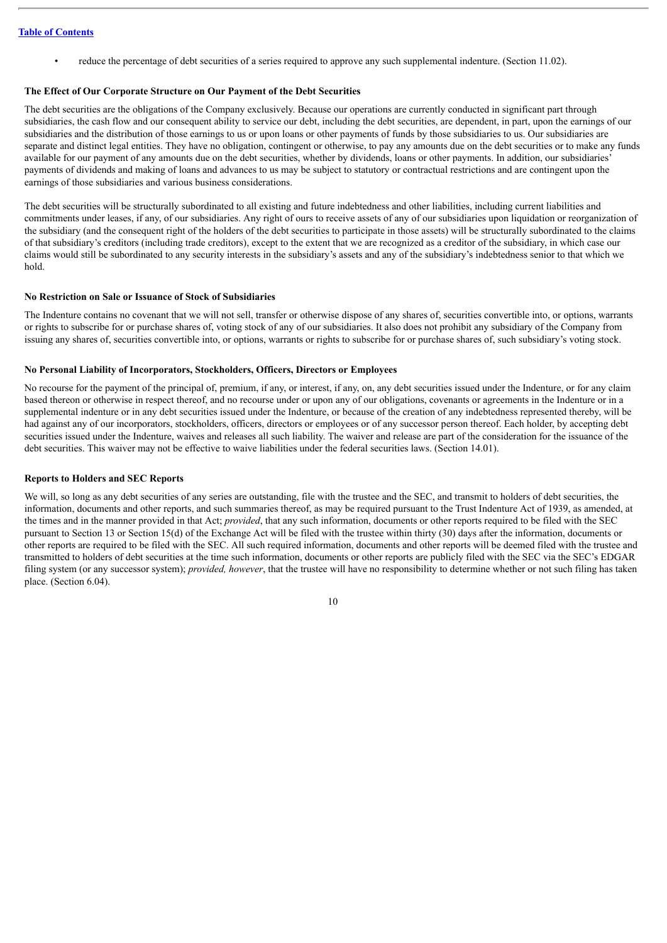• reduce the percentage of debt securities of a series required to approve any such supplemental indenture. (Section 11.02).

### **The Effect of Our Corporate Structure on Our Payment of the Debt Securities**

The debt securities are the obligations of the Company exclusively. Because our operations are currently conducted in significant part through subsidiaries, the cash flow and our consequent ability to service our debt, including the debt securities, are dependent, in part, upon the earnings of our subsidiaries and the distribution of those earnings to us or upon loans or other payments of funds by those subsidiaries to us. Our subsidiaries are separate and distinct legal entities. They have no obligation, contingent or otherwise, to pay any amounts due on the debt securities or to make any funds available for our payment of any amounts due on the debt securities, whether by dividends, loans or other payments. In addition, our subsidiaries' payments of dividends and making of loans and advances to us may be subject to statutory or contractual restrictions and are contingent upon the earnings of those subsidiaries and various business considerations.

The debt securities will be structurally subordinated to all existing and future indebtedness and other liabilities, including current liabilities and commitments under leases, if any, of our subsidiaries. Any right of ours to receive assets of any of our subsidiaries upon liquidation or reorganization of the subsidiary (and the consequent right of the holders of the debt securities to participate in those assets) will be structurally subordinated to the claims of that subsidiary's creditors (including trade creditors), except to the extent that we are recognized as a creditor of the subsidiary, in which case our claims would still be subordinated to any security interests in the subsidiary's assets and any of the subsidiary's indebtedness senior to that which we hold.

### **No Restriction on Sale or Issuance of Stock of Subsidiaries**

The Indenture contains no covenant that we will not sell, transfer or otherwise dispose of any shares of, securities convertible into, or options, warrants or rights to subscribe for or purchase shares of, voting stock of any of our subsidiaries. It also does not prohibit any subsidiary of the Company from issuing any shares of, securities convertible into, or options, warrants or rights to subscribe for or purchase shares of, such subsidiary's voting stock.

### **No Personal Liability of Incorporators, Stockholders, Officers, Directors or Employees**

No recourse for the payment of the principal of, premium, if any, or interest, if any, on, any debt securities issued under the Indenture, or for any claim based thereon or otherwise in respect thereof, and no recourse under or upon any of our obligations, covenants or agreements in the Indenture or in a supplemental indenture or in any debt securities issued under the Indenture, or because of the creation of any indebtedness represented thereby, will be had against any of our incorporators, stockholders, officers, directors or employees or of any successor person thereof. Each holder, by accepting debt securities issued under the Indenture, waives and releases all such liability. The waiver and release are part of the consideration for the issuance of the debt securities. This waiver may not be effective to waive liabilities under the federal securities laws. (Section 14.01).

### **Reports to Holders and SEC Reports**

We will, so long as any debt securities of any series are outstanding, file with the trustee and the SEC, and transmit to holders of debt securities, the information, documents and other reports, and such summaries thereof, as may be required pursuant to the Trust Indenture Act of 1939, as amended, at the times and in the manner provided in that Act; *provided*, that any such information, documents or other reports required to be filed with the SEC pursuant to Section 13 or Section 15(d) of the Exchange Act will be filed with the trustee within thirty (30) days after the information, documents or other reports are required to be filed with the SEC. All such required information, documents and other reports will be deemed filed with the trustee and transmitted to holders of debt securities at the time such information, documents or other reports are publicly filed with the SEC via the SEC's EDGAR filing system (or any successor system); *provided, however*, that the trustee will have no responsibility to determine whether or not such filing has taken place. (Section 6.04).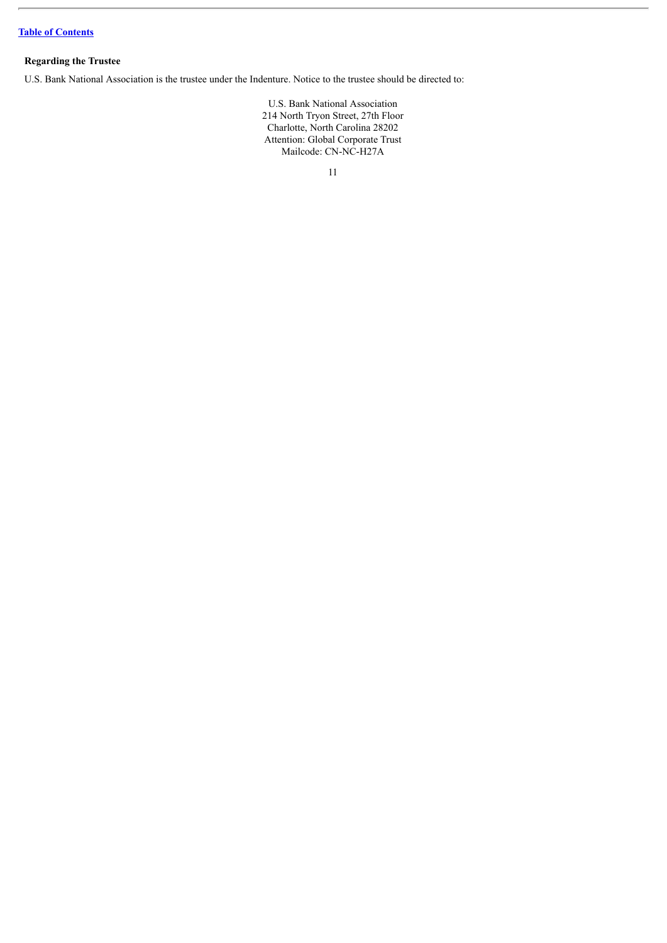### **Regarding the Trustee**

U.S. Bank National Association is the trustee under the Indenture. Notice to the trustee should be directed to:

U.S. Bank National Association 214 North Tryon Street, 27th Floor Charlotte, North Carolina 28202 Attention: Global Corporate Trust Mailcode: CN-NC-H27A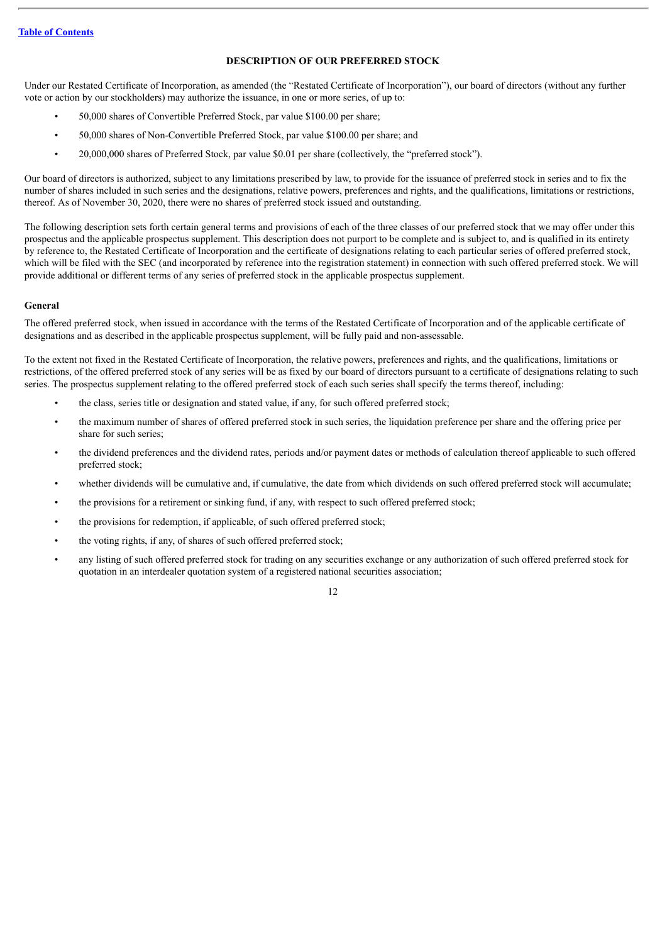### **DESCRIPTION OF OUR PREFERRED STOCK**

<span id="page-29-0"></span>Under our Restated Certificate of Incorporation, as amended (the "Restated Certificate of Incorporation"), our board of directors (without any further vote or action by our stockholders) may authorize the issuance, in one or more series, of up to:

- 50,000 shares of Convertible Preferred Stock, par value \$100.00 per share;
- 50,000 shares of Non-Convertible Preferred Stock, par value \$100.00 per share; and
- 20,000,000 shares of Preferred Stock, par value \$0.01 per share (collectively, the "preferred stock").

Our board of directors is authorized, subject to any limitations prescribed by law, to provide for the issuance of preferred stock in series and to fix the number of shares included in such series and the designations, relative powers, preferences and rights, and the qualifications, limitations or restrictions, thereof. As of November 30, 2020, there were no shares of preferred stock issued and outstanding.

The following description sets forth certain general terms and provisions of each of the three classes of our preferred stock that we may offer under this prospectus and the applicable prospectus supplement. This description does not purport to be complete and is subject to, and is qualified in its entirety by reference to, the Restated Certificate of Incorporation and the certificate of designations relating to each particular series of offered preferred stock, which will be filed with the SEC (and incorporated by reference into the registration statement) in connection with such offered preferred stock. We will provide additional or different terms of any series of preferred stock in the applicable prospectus supplement.

### **General**

The offered preferred stock, when issued in accordance with the terms of the Restated Certificate of Incorporation and of the applicable certificate of designations and as described in the applicable prospectus supplement, will be fully paid and non-assessable.

To the extent not fixed in the Restated Certificate of Incorporation, the relative powers, preferences and rights, and the qualifications, limitations or restrictions, of the offered preferred stock of any series will be as fixed by our board of directors pursuant to a certificate of designations relating to such series. The prospectus supplement relating to the offered preferred stock of each such series shall specify the terms thereof, including:

- the class, series title or designation and stated value, if any, for such offered preferred stock;
- the maximum number of shares of offered preferred stock in such series, the liquidation preference per share and the offering price per share for such series;
- the dividend preferences and the dividend rates, periods and/or payment dates or methods of calculation thereof applicable to such offered preferred stock;
- whether dividends will be cumulative and, if cumulative, the date from which dividends on such offered preferred stock will accumulate;
- the provisions for a retirement or sinking fund, if any, with respect to such offered preferred stock;
- the provisions for redemption, if applicable, of such offered preferred stock;
- the voting rights, if any, of shares of such offered preferred stock;
- any listing of such offered preferred stock for trading on any securities exchange or any authorization of such offered preferred stock for quotation in an interdealer quotation system of a registered national securities association;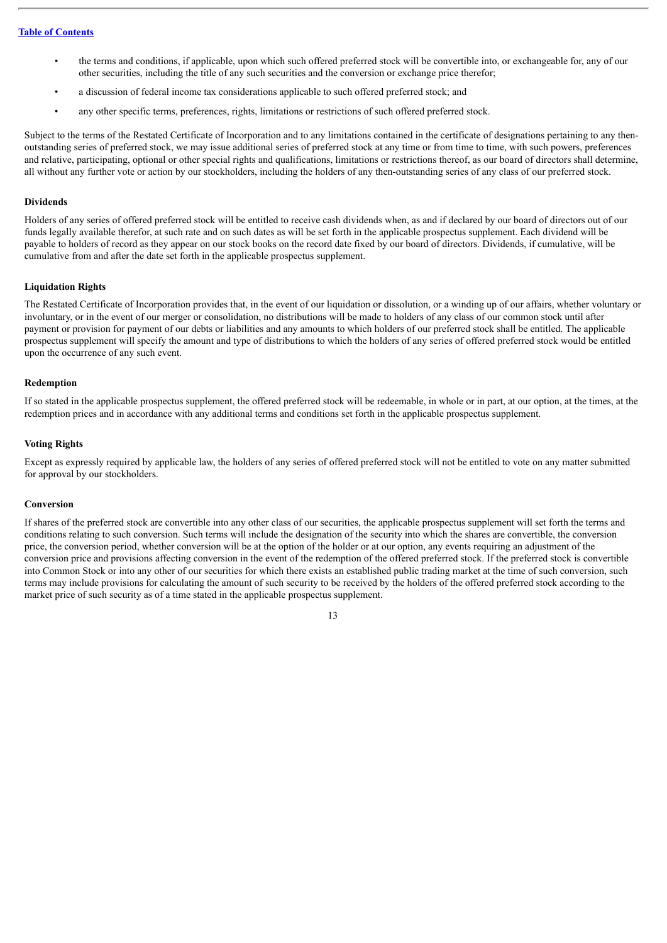- the terms and conditions, if applicable, upon which such offered preferred stock will be convertible into, or exchangeable for, any of our other securities, including the title of any such securities and the conversion or exchange price therefor;
- a discussion of federal income tax considerations applicable to such offered preferred stock; and
- any other specific terms, preferences, rights, limitations or restrictions of such offered preferred stock.

Subject to the terms of the Restated Certificate of Incorporation and to any limitations contained in the certificate of designations pertaining to any thenoutstanding series of preferred stock, we may issue additional series of preferred stock at any time or from time to time, with such powers, preferences and relative, participating, optional or other special rights and qualifications, limitations or restrictions thereof, as our board of directors shall determine, all without any further vote or action by our stockholders, including the holders of any then-outstanding series of any class of our preferred stock.

### **Dividends**

Holders of any series of offered preferred stock will be entitled to receive cash dividends when, as and if declared by our board of directors out of our funds legally available therefor, at such rate and on such dates as will be set forth in the applicable prospectus supplement. Each dividend will be payable to holders of record as they appear on our stock books on the record date fixed by our board of directors. Dividends, if cumulative, will be cumulative from and after the date set forth in the applicable prospectus supplement.

### **Liquidation Rights**

The Restated Certificate of Incorporation provides that, in the event of our liquidation or dissolution, or a winding up of our affairs, whether voluntary or involuntary, or in the event of our merger or consolidation, no distributions will be made to holders of any class of our common stock until after payment or provision for payment of our debts or liabilities and any amounts to which holders of our preferred stock shall be entitled. The applicable prospectus supplement will specify the amount and type of distributions to which the holders of any series of offered preferred stock would be entitled upon the occurrence of any such event.

### **Redemption**

If so stated in the applicable prospectus supplement, the offered preferred stock will be redeemable, in whole or in part, at our option, at the times, at the redemption prices and in accordance with any additional terms and conditions set forth in the applicable prospectus supplement.

### **Voting Rights**

Except as expressly required by applicable law, the holders of any series of offered preferred stock will not be entitled to vote on any matter submitted for approval by our stockholders.

### **Conversion**

If shares of the preferred stock are convertible into any other class of our securities, the applicable prospectus supplement will set forth the terms and conditions relating to such conversion. Such terms will include the designation of the security into which the shares are convertible, the conversion price, the conversion period, whether conversion will be at the option of the holder or at our option, any events requiring an adjustment of the conversion price and provisions affecting conversion in the event of the redemption of the offered preferred stock. If the preferred stock is convertible into Common Stock or into any other of our securities for which there exists an established public trading market at the time of such conversion, such terms may include provisions for calculating the amount of such security to be received by the holders of the offered preferred stock according to the market price of such security as of a time stated in the applicable prospectus supplement.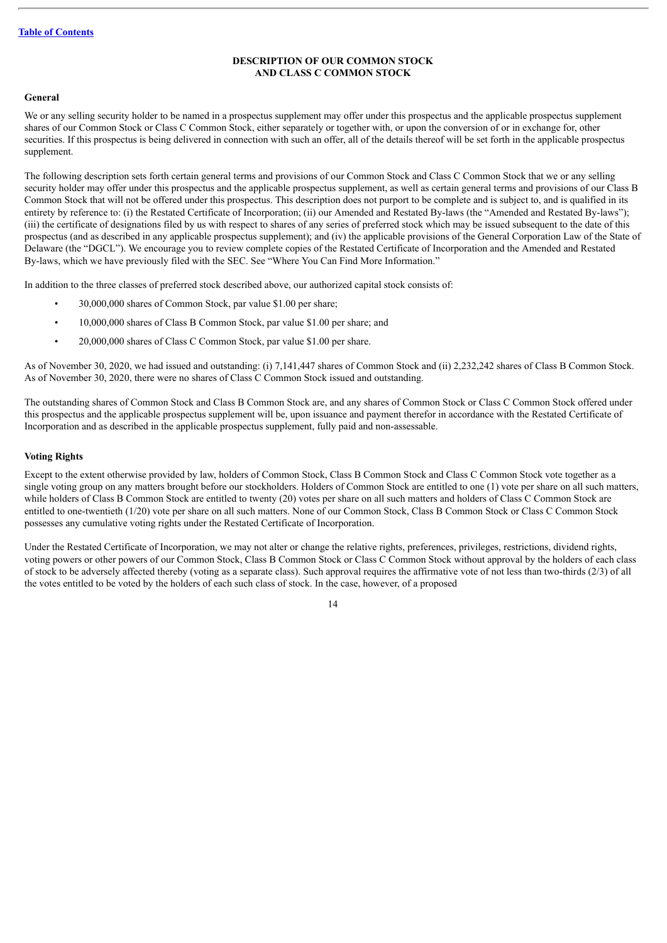### **DESCRIPTION OF OUR COMMON STOCK AND CLASS C COMMON STOCK**

### <span id="page-31-0"></span>**General**

We or any selling security holder to be named in a prospectus supplement may offer under this prospectus and the applicable prospectus supplement shares of our Common Stock or Class C Common Stock, either separately or together with, or upon the conversion of or in exchange for, other securities. If this prospectus is being delivered in connection with such an offer, all of the details thereof will be set forth in the applicable prospectus supplement.

The following description sets forth certain general terms and provisions of our Common Stock and Class C Common Stock that we or any selling security holder may offer under this prospectus and the applicable prospectus supplement, as well as certain general terms and provisions of our Class B Common Stock that will not be offered under this prospectus. This description does not purport to be complete and is subject to, and is qualified in its entirety by reference to: (i) the Restated Certificate of Incorporation; (ii) our Amended and Restated By-laws (the "Amended and Restated By-laws"); (iii) the certificate of designations filed by us with respect to shares of any series of preferred stock which may be issued subsequent to the date of this prospectus (and as described in any applicable prospectus supplement); and (iv) the applicable provisions of the General Corporation Law of the State of Delaware (the "DGCL"). We encourage you to review complete copies of the Restated Certificate of Incorporation and the Amended and Restated By-laws, which we have previously filed with the SEC. See "Where You Can Find More Information."

In addition to the three classes of preferred stock described above, our authorized capital stock consists of:

- 30,000,000 shares of Common Stock, par value \$1.00 per share;
- 10,000,000 shares of Class B Common Stock, par value \$1.00 per share; and
- 20,000,000 shares of Class C Common Stock, par value \$1,00 per share.

As of November 30, 2020, we had issued and outstanding: (i) 7,141,447 shares of Common Stock and (ii) 2,232,242 shares of Class B Common Stock. As of November 30, 2020, there were no shares of Class C Common Stock issued and outstanding.

The outstanding shares of Common Stock and Class B Common Stock are, and any shares of Common Stock or Class C Common Stock offered under this prospectus and the applicable prospectus supplement will be, upon issuance and payment therefor in accordance with the Restated Certificate of Incorporation and as described in the applicable prospectus supplement, fully paid and non-assessable.

### **Voting Rights**

Except to the extent otherwise provided by law, holders of Common Stock, Class B Common Stock and Class C Common Stock vote together as a single voting group on any matters brought before our stockholders. Holders of Common Stock are entitled to one (1) vote per share on all such matters, while holders of Class B Common Stock are entitled to twenty (20) votes per share on all such matters and holders of Class C Common Stock are entitled to one-twentieth (1/20) vote per share on all such matters. None of our Common Stock, Class B Common Stock or Class C Common Stock possesses any cumulative voting rights under the Restated Certificate of Incorporation.

Under the Restated Certificate of Incorporation, we may not alter or change the relative rights, preferences, privileges, restrictions, dividend rights, voting powers or other powers of our Common Stock, Class B Common Stock or Class C Common Stock without approval by the holders of each class of stock to be adversely affected thereby (voting as a separate class). Such approval requires the affirmative vote of not less than two-thirds (2/3) of all the votes entitled to be voted by the holders of each such class of stock. In the case, however, of a proposed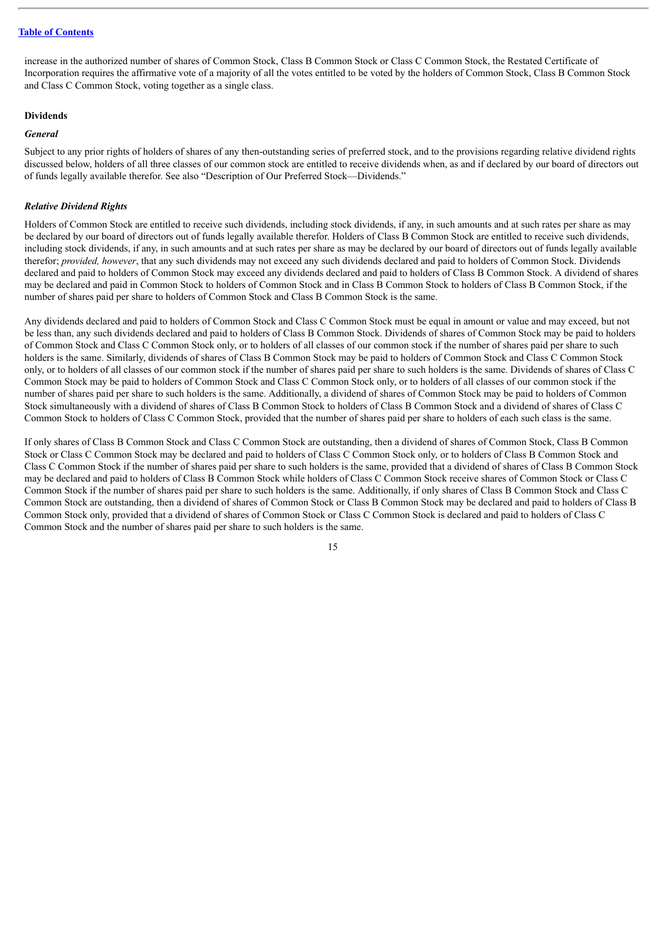increase in the authorized number of shares of Common Stock, Class B Common Stock or Class C Common Stock, the Restated Certificate of Incorporation requires the affirmative vote of a majority of all the votes entitled to be voted by the holders of Common Stock, Class B Common Stock and Class C Common Stock, voting together as a single class.

### **Dividends**

### *General*

Subject to any prior rights of holders of shares of any then-outstanding series of preferred stock, and to the provisions regarding relative dividend rights discussed below, holders of all three classes of our common stock are entitled to receive dividends when, as and if declared by our board of directors out of funds legally available therefor. See also "Description of Our Preferred Stock—Dividends."

### *Relative Dividend Rights*

Holders of Common Stock are entitled to receive such dividends, including stock dividends, if any, in such amounts and at such rates per share as may be declared by our board of directors out of funds legally available therefor. Holders of Class B Common Stock are entitled to receive such dividends, including stock dividends, if any, in such amounts and at such rates per share as may be declared by our board of directors out of funds legally available therefor; *provided, however*, that any such dividends may not exceed any such dividends declared and paid to holders of Common Stock. Dividends declared and paid to holders of Common Stock may exceed any dividends declared and paid to holders of Class B Common Stock. A dividend of shares may be declared and paid in Common Stock to holders of Common Stock and in Class B Common Stock to holders of Class B Common Stock, if the number of shares paid per share to holders of Common Stock and Class B Common Stock is the same.

Any dividends declared and paid to holders of Common Stock and Class C Common Stock must be equal in amount or value and may exceed, but not be less than, any such dividends declared and paid to holders of Class B Common Stock. Dividends of shares of Common Stock may be paid to holders of Common Stock and Class C Common Stock only, or to holders of all classes of our common stock if the number of shares paid per share to such holders is the same. Similarly, dividends of shares of Class B Common Stock may be paid to holders of Common Stock and Class C Common Stock only, or to holders of all classes of our common stock if the number of shares paid per share to such holders is the same. Dividends of shares of Class C Common Stock may be paid to holders of Common Stock and Class C Common Stock only, or to holders of all classes of our common stock if the number of shares paid per share to such holders is the same. Additionally, a dividend of shares of Common Stock may be paid to holders of Common Stock simultaneously with a dividend of shares of Class B Common Stock to holders of Class B Common Stock and a dividend of shares of Class C Common Stock to holders of Class C Common Stock, provided that the number of shares paid per share to holders of each such class is the same.

If only shares of Class B Common Stock and Class C Common Stock are outstanding, then a dividend of shares of Common Stock, Class B Common Stock or Class C Common Stock may be declared and paid to holders of Class C Common Stock only, or to holders of Class B Common Stock and Class C Common Stock if the number of shares paid per share to such holders is the same, provided that a dividend of shares of Class B Common Stock may be declared and paid to holders of Class B Common Stock while holders of Class C Common Stock receive shares of Common Stock or Class C Common Stock if the number of shares paid per share to such holders is the same. Additionally, if only shares of Class B Common Stock and Class C Common Stock are outstanding, then a dividend of shares of Common Stock or Class B Common Stock may be declared and paid to holders of Class B Common Stock only, provided that a dividend of shares of Common Stock or Class C Common Stock is declared and paid to holders of Class C Common Stock and the number of shares paid per share to such holders is the same.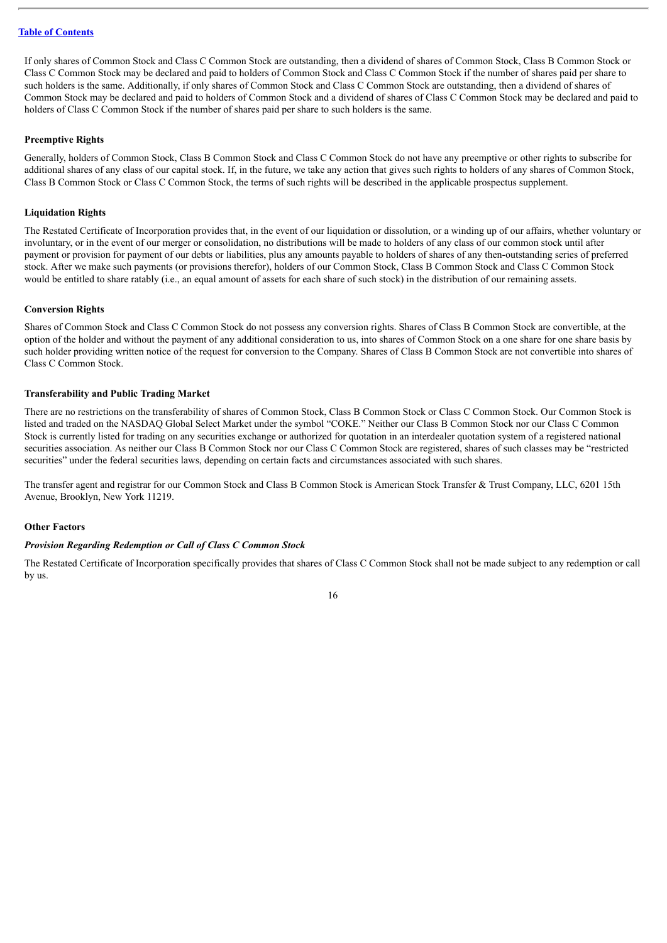If only shares of Common Stock and Class C Common Stock are outstanding, then a dividend of shares of Common Stock, Class B Common Stock or Class C Common Stock may be declared and paid to holders of Common Stock and Class C Common Stock if the number of shares paid per share to such holders is the same. Additionally, if only shares of Common Stock and Class C Common Stock are outstanding, then a dividend of shares of Common Stock may be declared and paid to holders of Common Stock and a dividend of shares of Class C Common Stock may be declared and paid to holders of Class C Common Stock if the number of shares paid per share to such holders is the same.

### **Preemptive Rights**

Generally, holders of Common Stock, Class B Common Stock and Class C Common Stock do not have any preemptive or other rights to subscribe for additional shares of any class of our capital stock. If, in the future, we take any action that gives such rights to holders of any shares of Common Stock, Class B Common Stock or Class C Common Stock, the terms of such rights will be described in the applicable prospectus supplement.

### **Liquidation Rights**

The Restated Certificate of Incorporation provides that, in the event of our liquidation or dissolution, or a winding up of our affairs, whether voluntary or involuntary, or in the event of our merger or consolidation, no distributions will be made to holders of any class of our common stock until after payment or provision for payment of our debts or liabilities, plus any amounts payable to holders of shares of any then-outstanding series of preferred stock. After we make such payments (or provisions therefor), holders of our Common Stock, Class B Common Stock and Class C Common Stock would be entitled to share ratably (i.e., an equal amount of assets for each share of such stock) in the distribution of our remaining assets.

#### **Conversion Rights**

Shares of Common Stock and Class C Common Stock do not possess any conversion rights. Shares of Class B Common Stock are convertible, at the option of the holder and without the payment of any additional consideration to us, into shares of Common Stock on a one share for one share basis by such holder providing written notice of the request for conversion to the Company. Shares of Class B Common Stock are not convertible into shares of Class C Common Stock.

### **Transferability and Public Trading Market**

There are no restrictions on the transferability of shares of Common Stock, Class B Common Stock or Class C Common Stock. Our Common Stock is listed and traded on the NASDAQ Global Select Market under the symbol "COKE." Neither our Class B Common Stock nor our Class C Common Stock is currently listed for trading on any securities exchange or authorized for quotation in an interdealer quotation system of a registered national securities association. As neither our Class B Common Stock nor our Class C Common Stock are registered, shares of such classes may be "restricted securities" under the federal securities laws, depending on certain facts and circumstances associated with such shares.

The transfer agent and registrar for our Common Stock and Class B Common Stock is American Stock Transfer & Trust Company, LLC, 6201 15th Avenue, Brooklyn, New York 11219.

### **Other Factors**

### *Provision Regarding Redemption or Call of Class C Common Stock*

The Restated Certificate of Incorporation specifically provides that shares of Class C Common Stock shall not be made subject to any redemption or call by us.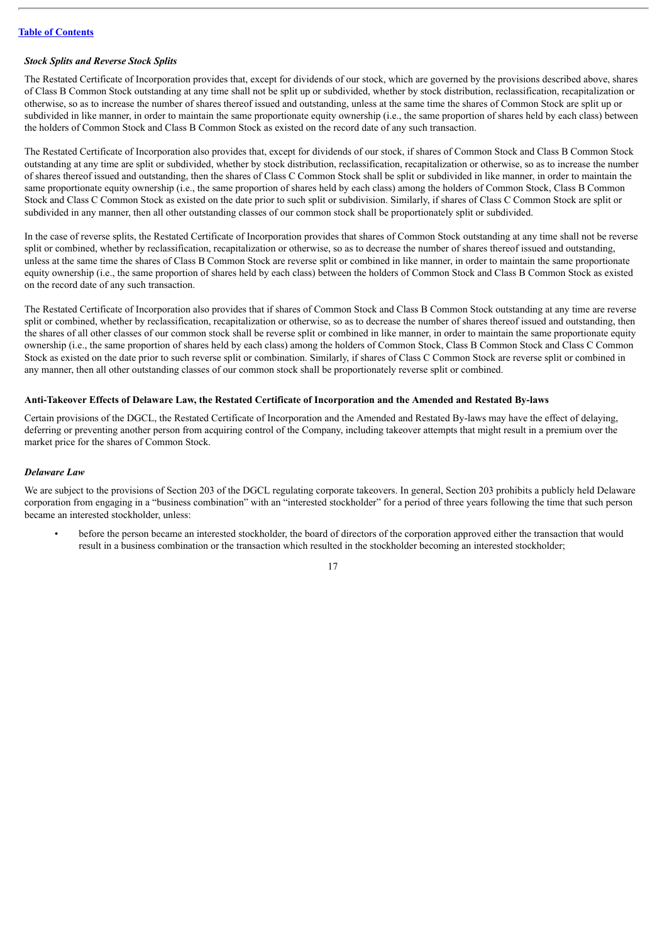### *Stock Splits and Reverse Stock Splits*

The Restated Certificate of Incorporation provides that, except for dividends of our stock, which are governed by the provisions described above, shares of Class B Common Stock outstanding at any time shall not be split up or subdivided, whether by stock distribution, reclassification, recapitalization or otherwise, so as to increase the number of shares thereof issued and outstanding, unless at the same time the shares of Common Stock are split up or subdivided in like manner, in order to maintain the same proportionate equity ownership (i.e., the same proportion of shares held by each class) between the holders of Common Stock and Class B Common Stock as existed on the record date of any such transaction.

The Restated Certificate of Incorporation also provides that, except for dividends of our stock, if shares of Common Stock and Class B Common Stock outstanding at any time are split or subdivided, whether by stock distribution, reclassification, recapitalization or otherwise, so as to increase the number of shares thereof issued and outstanding, then the shares of Class C Common Stock shall be split or subdivided in like manner, in order to maintain the same proportionate equity ownership (i.e., the same proportion of shares held by each class) among the holders of Common Stock, Class B Common Stock and Class C Common Stock as existed on the date prior to such split or subdivision. Similarly, if shares of Class C Common Stock are split or subdivided in any manner, then all other outstanding classes of our common stock shall be proportionately split or subdivided.

In the case of reverse splits, the Restated Certificate of Incorporation provides that shares of Common Stock outstanding at any time shall not be reverse split or combined, whether by reclassification, recapitalization or otherwise, so as to decrease the number of shares thereof issued and outstanding, unless at the same time the shares of Class B Common Stock are reverse split or combined in like manner, in order to maintain the same proportionate equity ownership (i.e., the same proportion of shares held by each class) between the holders of Common Stock and Class B Common Stock as existed on the record date of any such transaction.

The Restated Certificate of Incorporation also provides that if shares of Common Stock and Class B Common Stock outstanding at any time are reverse split or combined, whether by reclassification, recapitalization or otherwise, so as to decrease the number of shares thereof issued and outstanding, then the shares of all other classes of our common stock shall be reverse split or combined in like manner, in order to maintain the same proportionate equity ownership (i.e., the same proportion of shares held by each class) among the holders of Common Stock, Class B Common Stock and Class C Common Stock as existed on the date prior to such reverse split or combination. Similarly, if shares of Class C Common Stock are reverse split or combined in any manner, then all other outstanding classes of our common stock shall be proportionately reverse split or combined.

### Anti-Takeover Effects of Delaware Law, the Restated Certificate of Incorporation and the Amended and Restated By-laws

Certain provisions of the DGCL, the Restated Certificate of Incorporation and the Amended and Restated By-laws may have the effect of delaying, deferring or preventing another person from acquiring control of the Company, including takeover attempts that might result in a premium over the market price for the shares of Common Stock.

### *Delaware Law*

We are subject to the provisions of Section 203 of the DGCL regulating corporate takeovers. In general, Section 203 prohibits a publicly held Delaware corporation from engaging in a "business combination" with an "interested stockholder" for a period of three years following the time that such person became an interested stockholder, unless:

• before the person became an interested stockholder, the board of directors of the corporation approved either the transaction that would result in a business combination or the transaction which resulted in the stockholder becoming an interested stockholder;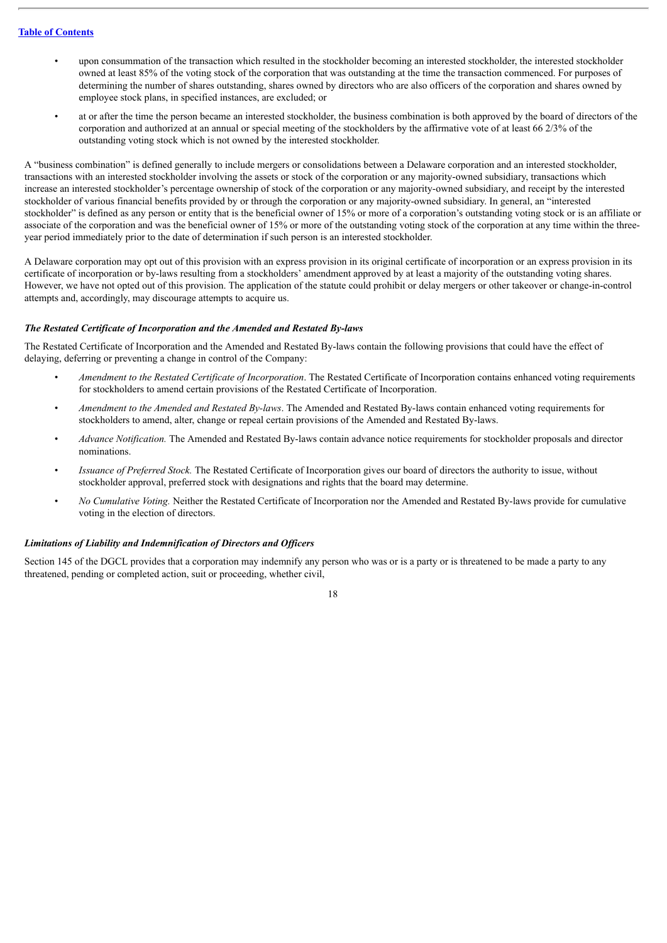- upon consummation of the transaction which resulted in the stockholder becoming an interested stockholder, the interested stockholder owned at least 85% of the voting stock of the corporation that was outstanding at the time the transaction commenced. For purposes of determining the number of shares outstanding, shares owned by directors who are also officers of the corporation and shares owned by employee stock plans, in specified instances, are excluded; or
- at or after the time the person became an interested stockholder, the business combination is both approved by the board of directors of the corporation and authorized at an annual or special meeting of the stockholders by the affirmative vote of at least 66 2/3% of the outstanding voting stock which is not owned by the interested stockholder.

A "business combination" is defined generally to include mergers or consolidations between a Delaware corporation and an interested stockholder, transactions with an interested stockholder involving the assets or stock of the corporation or any majority-owned subsidiary, transactions which increase an interested stockholder's percentage ownership of stock of the corporation or any majority-owned subsidiary, and receipt by the interested stockholder of various financial benefits provided by or through the corporation or any majority-owned subsidiary. In general, an "interested stockholder" is defined as any person or entity that is the beneficial owner of 15% or more of a corporation's outstanding voting stock or is an affiliate or associate of the corporation and was the beneficial owner of 15% or more of the outstanding voting stock of the corporation at any time within the threeyear period immediately prior to the date of determination if such person is an interested stockholder.

A Delaware corporation may opt out of this provision with an express provision in its original certificate of incorporation or an express provision in its certificate of incorporation or by-laws resulting from a stockholders' amendment approved by at least a majority of the outstanding voting shares. However, we have not opted out of this provision. The application of the statute could prohibit or delay mergers or other takeover or change-in-control attempts and, accordingly, may discourage attempts to acquire us.

### *The Restated Certificate of Incorporation and the Amended and Restated By-laws*

The Restated Certificate of Incorporation and the Amended and Restated By-laws contain the following provisions that could have the effect of delaying, deferring or preventing a change in control of the Company:

- *Amendment to the Restated Certificate of Incorporation*. The Restated Certificate of Incorporation contains enhanced voting requirements for stockholders to amend certain provisions of the Restated Certificate of Incorporation.
- *Amendment to the Amended and Restated By-laws*. The Amended and Restated By-laws contain enhanced voting requirements for stockholders to amend, alter, change or repeal certain provisions of the Amended and Restated By-laws.
- *Advance Notification.* The Amended and Restated By-laws contain advance notice requirements for stockholder proposals and director nominations.
- *Issuance of Preferred Stock.* The Restated Certificate of Incorporation gives our board of directors the authority to issue, without stockholder approval, preferred stock with designations and rights that the board may determine.
- *No Cumulative Voting.* Neither the Restated Certificate of Incorporation nor the Amended and Restated By-laws provide for cumulative voting in the election of directors.

### *Limitations of Liability and Indemnification of Directors and Of icers*

Section 145 of the DGCL provides that a corporation may indemnify any person who was or is a party or is threatened to be made a party to any threatened, pending or completed action, suit or proceeding, whether civil,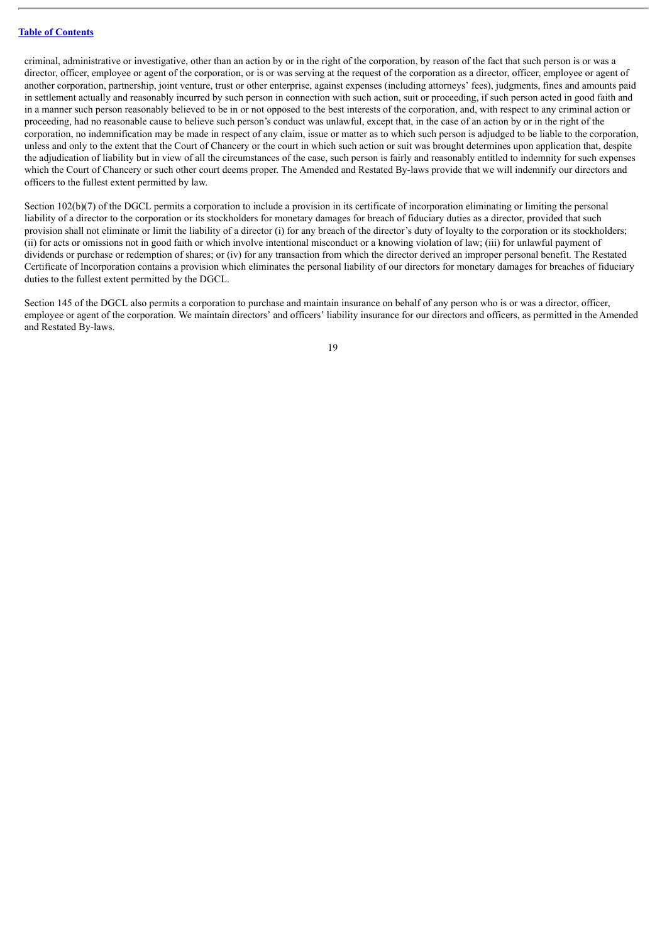criminal, administrative or investigative, other than an action by or in the right of the corporation, by reason of the fact that such person is or was a director, officer, employee or agent of the corporation, or is or was serving at the request of the corporation as a director, officer, employee or agent of another corporation, partnership, joint venture, trust or other enterprise, against expenses (including attorneys' fees), judgments, fines and amounts paid in settlement actually and reasonably incurred by such person in connection with such action, suit or proceeding, if such person acted in good faith and in a manner such person reasonably believed to be in or not opposed to the best interests of the corporation, and, with respect to any criminal action or proceeding, had no reasonable cause to believe such person's conduct was unlawful, except that, in the case of an action by or in the right of the corporation, no indemnification may be made in respect of any claim, issue or matter as to which such person is adjudged to be liable to the corporation, unless and only to the extent that the Court of Chancery or the court in which such action or suit was brought determines upon application that, despite the adjudication of liability but in view of all the circumstances of the case, such person is fairly and reasonably entitled to indemnity for such expenses which the Court of Chancery or such other court deems proper. The Amended and Restated By-laws provide that we will indemnify our directors and officers to the fullest extent permitted by law.

Section 102(b)(7) of the DGCL permits a corporation to include a provision in its certificate of incorporation eliminating or limiting the personal liability of a director to the corporation or its stockholders for monetary damages for breach of fiduciary duties as a director, provided that such provision shall not eliminate or limit the liability of a director (i) for any breach of the director's duty of loyalty to the corporation or its stockholders; (ii) for acts or omissions not in good faith or which involve intentional misconduct or a knowing violation of law; (iii) for unlawful payment of dividends or purchase or redemption of shares; or (iv) for any transaction from which the director derived an improper personal benefit. The Restated Certificate of Incorporation contains a provision which eliminates the personal liability of our directors for monetary damages for breaches of fiduciary duties to the fullest extent permitted by the DGCL.

Section 145 of the DGCL also permits a corporation to purchase and maintain insurance on behalf of any person who is or was a director, officer, employee or agent of the corporation. We maintain directors' and officers' liability insurance for our directors and officers, as permitted in the Amended and Restated By-laws.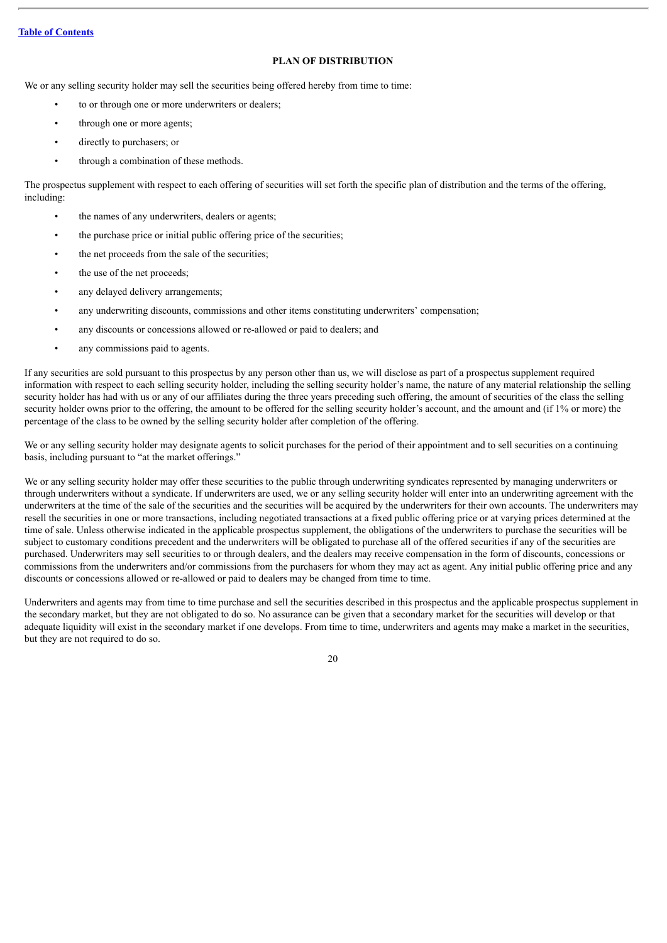### **PLAN OF DISTRIBUTION**

<span id="page-37-0"></span>We or any selling security holder may sell the securities being offered hereby from time to time:

- to or through one or more underwriters or dealers;
- through one or more agents;
- directly to purchasers; or
- through a combination of these methods.

The prospectus supplement with respect to each offering of securities will set forth the specific plan of distribution and the terms of the offering, including:

- the names of any underwriters, dealers or agents;
- the purchase price or initial public offering price of the securities;
- the net proceeds from the sale of the securities:
- the use of the net proceeds;
- any delayed delivery arrangements;
- any underwriting discounts, commissions and other items constituting underwriters' compensation;
- any discounts or concessions allowed or re-allowed or paid to dealers; and
- any commissions paid to agents.

If any securities are sold pursuant to this prospectus by any person other than us, we will disclose as part of a prospectus supplement required information with respect to each selling security holder, including the selling security holder's name, the nature of any material relationship the selling security holder has had with us or any of our affiliates during the three years preceding such offering, the amount of securities of the class the selling security holder owns prior to the offering, the amount to be offered for the selling security holder's account, and the amount and (if 1% or more) the percentage of the class to be owned by the selling security holder after completion of the offering.

We or any selling security holder may designate agents to solicit purchases for the period of their appointment and to sell securities on a continuing basis, including pursuant to "at the market offerings."

We or any selling security holder may offer these securities to the public through underwriting syndicates represented by managing underwriters or through underwriters without a syndicate. If underwriters are used, we or any selling security holder will enter into an underwriting agreement with the underwriters at the time of the sale of the securities and the securities will be acquired by the underwriters for their own accounts. The underwriters may resell the securities in one or more transactions, including negotiated transactions at a fixed public offering price or at varying prices determined at the time of sale. Unless otherwise indicated in the applicable prospectus supplement, the obligations of the underwriters to purchase the securities will be subject to customary conditions precedent and the underwriters will be obligated to purchase all of the offered securities if any of the securities are purchased. Underwriters may sell securities to or through dealers, and the dealers may receive compensation in the form of discounts, concessions or commissions from the underwriters and/or commissions from the purchasers for whom they may act as agent. Any initial public offering price and any discounts or concessions allowed or re-allowed or paid to dealers may be changed from time to time.

Underwriters and agents may from time to time purchase and sell the securities described in this prospectus and the applicable prospectus supplement in the secondary market, but they are not obligated to do so. No assurance can be given that a secondary market for the securities will develop or that adequate liquidity will exist in the secondary market if one develops. From time to time, underwriters and agents may make a market in the securities, but they are not required to do so.

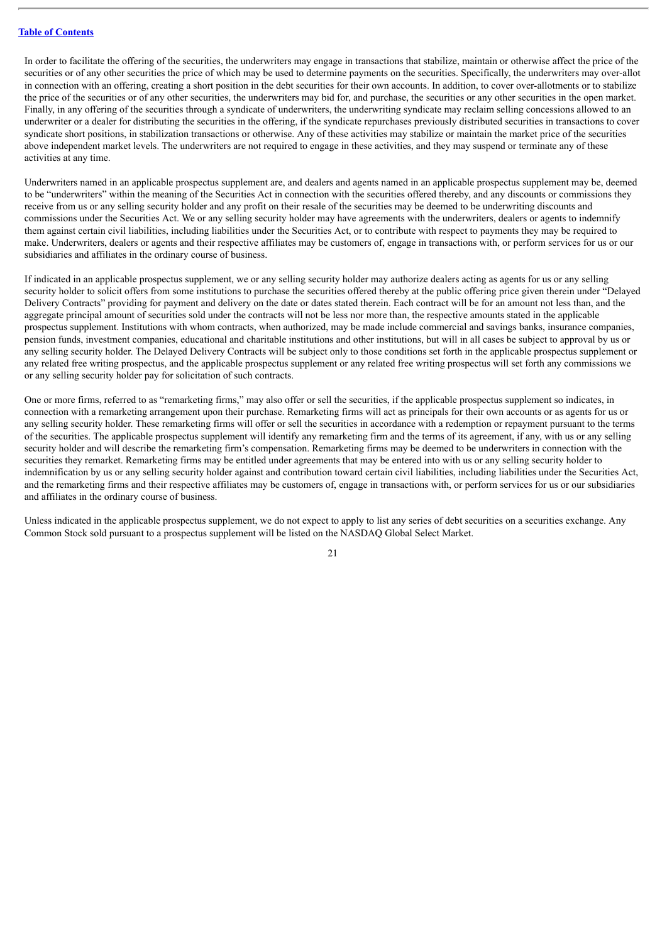In order to facilitate the offering of the securities, the underwriters may engage in transactions that stabilize, maintain or otherwise affect the price of the securities or of any other securities the price of which may be used to determine payments on the securities. Specifically, the underwriters may over-allot in connection with an offering, creating a short position in the debt securities for their own accounts. In addition, to cover over-allotments or to stabilize the price of the securities or of any other securities, the underwriters may bid for, and purchase, the securities or any other securities in the open market. Finally, in any offering of the securities through a syndicate of underwriters, the underwriting syndicate may reclaim selling concessions allowed to an underwriter or a dealer for distributing the securities in the offering, if the syndicate repurchases previously distributed securities in transactions to cover syndicate short positions, in stabilization transactions or otherwise. Any of these activities may stabilize or maintain the market price of the securities above independent market levels. The underwriters are not required to engage in these activities, and they may suspend or terminate any of these activities at any time.

Underwriters named in an applicable prospectus supplement are, and dealers and agents named in an applicable prospectus supplement may be, deemed to be "underwriters" within the meaning of the Securities Act in connection with the securities offered thereby, and any discounts or commissions they receive from us or any selling security holder and any profit on their resale of the securities may be deemed to be underwriting discounts and commissions under the Securities Act. We or any selling security holder may have agreements with the underwriters, dealers or agents to indemnify them against certain civil liabilities, including liabilities under the Securities Act, or to contribute with respect to payments they may be required to make. Underwriters, dealers or agents and their respective affiliates may be customers of, engage in transactions with, or perform services for us or our subsidiaries and affiliates in the ordinary course of business.

If indicated in an applicable prospectus supplement, we or any selling security holder may authorize dealers acting as agents for us or any selling security holder to solicit offers from some institutions to purchase the securities offered thereby at the public offering price given therein under "Delayed Delivery Contracts" providing for payment and delivery on the date or dates stated therein. Each contract will be for an amount not less than, and the aggregate principal amount of securities sold under the contracts will not be less nor more than, the respective amounts stated in the applicable prospectus supplement. Institutions with whom contracts, when authorized, may be made include commercial and savings banks, insurance companies, pension funds, investment companies, educational and charitable institutions and other institutions, but will in all cases be subject to approval by us or any selling security holder. The Delayed Delivery Contracts will be subject only to those conditions set forth in the applicable prospectus supplement or any related free writing prospectus, and the applicable prospectus supplement or any related free writing prospectus will set forth any commissions we or any selling security holder pay for solicitation of such contracts.

One or more firms, referred to as "remarketing firms," may also offer or sell the securities, if the applicable prospectus supplement so indicates, in connection with a remarketing arrangement upon their purchase. Remarketing firms will act as principals for their own accounts or as agents for us or any selling security holder. These remarketing firms will offer or sell the securities in accordance with a redemption or repayment pursuant to the terms of the securities. The applicable prospectus supplement will identify any remarketing firm and the terms of its agreement, if any, with us or any selling security holder and will describe the remarketing firm's compensation. Remarketing firms may be deemed to be underwriters in connection with the securities they remarket. Remarketing firms may be entitled under agreements that may be entered into with us or any selling security holder to indemnification by us or any selling security holder against and contribution toward certain civil liabilities, including liabilities under the Securities Act, and the remarketing firms and their respective affiliates may be customers of, engage in transactions with, or perform services for us or our subsidiaries and affiliates in the ordinary course of business.

Unless indicated in the applicable prospectus supplement, we do not expect to apply to list any series of debt securities on a securities exchange. Any Common Stock sold pursuant to a prospectus supplement will be listed on the NASDAQ Global Select Market.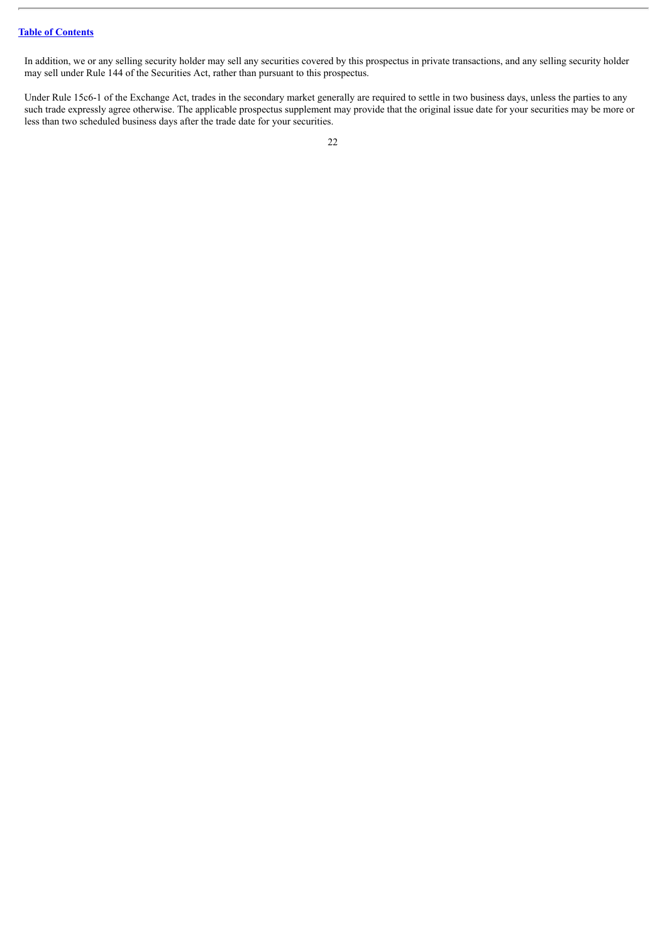In addition, we or any selling security holder may sell any securities covered by this prospectus in private transactions, and any selling security holder may sell under Rule 144 of the Securities Act, rather than pursuant to this prospectus.

Under Rule 15c6-1 of the Exchange Act, trades in the secondary market generally are required to settle in two business days, unless the parties to any such trade expressly agree otherwise. The applicable prospectus supplement may provide that the original issue date for your securities may be more or less than two scheduled business days after the trade date for your securities.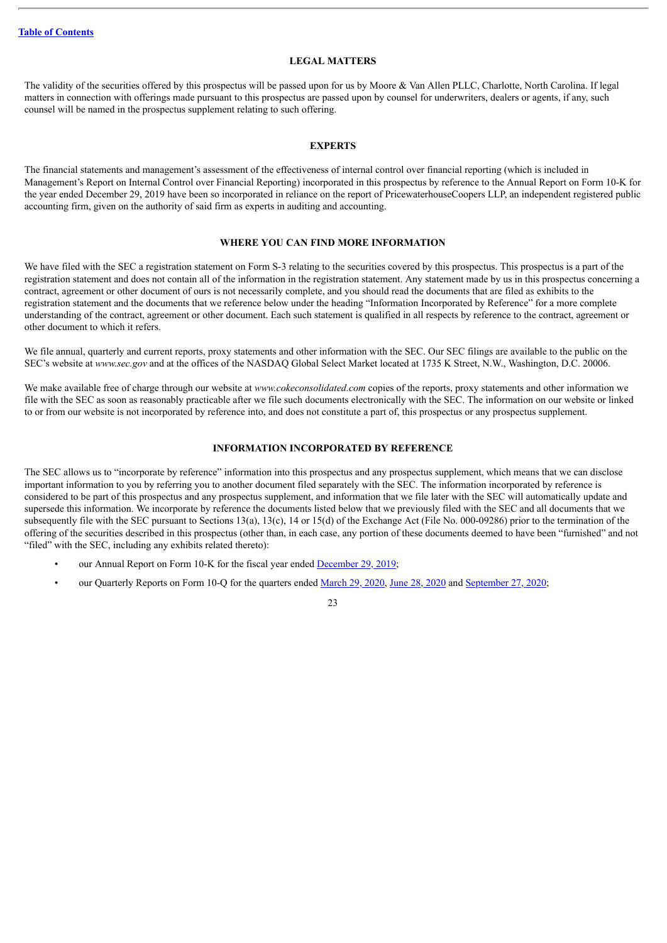### **LEGAL MATTERS**

<span id="page-40-0"></span>The validity of the securities offered by this prospectus will be passed upon for us by Moore & Van Allen PLLC, Charlotte, North Carolina. If legal matters in connection with offerings made pursuant to this prospectus are passed upon by counsel for underwriters, dealers or agents, if any, such counsel will be named in the prospectus supplement relating to such offering.

### **EXPERTS**

<span id="page-40-1"></span>The financial statements and management's assessment of the effectiveness of internal control over financial reporting (which is included in Management's Report on Internal Control over Financial Reporting) incorporated in this prospectus by reference to the Annual Report on Form 10-K for the year ended December 29, 2019 have been so incorporated in reliance on the report of PricewaterhouseCoopers LLP, an independent registered public accounting firm, given on the authority of said firm as experts in auditing and accounting.

### **WHERE YOU CAN FIND MORE INFORMATION**

<span id="page-40-2"></span>We have filed with the SEC a registration statement on Form S-3 relating to the securities covered by this prospectus. This prospectus is a part of the registration statement and does not contain all of the information in the registration statement. Any statement made by us in this prospectus concerning a contract, agreement or other document of ours is not necessarily complete, and you should read the documents that are filed as exhibits to the registration statement and the documents that we reference below under the heading "Information Incorporated by Reference" for a more complete understanding of the contract, agreement or other document. Each such statement is qualified in all respects by reference to the contract, agreement or other document to which it refers.

We file annual, quarterly and current reports, proxy statements and other information with the SEC. Our SEC filings are available to the public on the SEC's website at *www.sec.gov* and at the offices of the NASDAQ Global Select Market located at 1735 K Street, N.W., Washington, D.C. 20006.

We make available free of charge through our website at *www.cokeconsolidated.com* copies of the reports, proxy statements and other information we file with the SEC as soon as reasonably practicable after we file such documents electronically with the SEC. The information on our website or linked to or from our website is not incorporated by reference into, and does not constitute a part of, this prospectus or any prospectus supplement.

### **INFORMATION INCORPORATED BY REFERENCE**

<span id="page-40-3"></span>The SEC allows us to "incorporate by reference" information into this prospectus and any prospectus supplement, which means that we can disclose important information to you by referring you to another document filed separately with the SEC. The information incorporated by reference is considered to be part of this prospectus and any prospectus supplement, and information that we file later with the SEC will automatically update and supersede this information. We incorporate by reference the documents listed below that we previously filed with the SEC and all documents that we subsequently file with the SEC pursuant to Sections 13(a), 13(c), 14 or 15(d) of the Exchange Act (File No. 000-09286) prior to the termination of the offering of the securities described in this prospectus (other than, in each case, any portion of these documents deemed to have been "furnished" and not "filed" with the SEC, including any exhibits related thereto):

- our Annual Report on Form 10-K for the fiscal year ended [December](http://www.sec.gov/ix?doc=/Archives/edgar/data/317540/000156459020006432/coke-10k_20191229.htm) 29, 2019;
- our Quarterly Reports on Form 10-Q for the quarters ended [March](http://www.sec.gov/ix?doc=/Archives/edgar/data/317540/000031754020000009/coke-20200329.htm) 29, 2020, June 28, [2020](http://www.sec.gov/ix?doc=/Archives/edgar/data/317540/000031754020000020/coke-20200628.htm) and [September](http://www.sec.gov/ix?doc=/Archives/edgar/data/317540/000031754020000028/coke-20200927.htm) 27, 2020;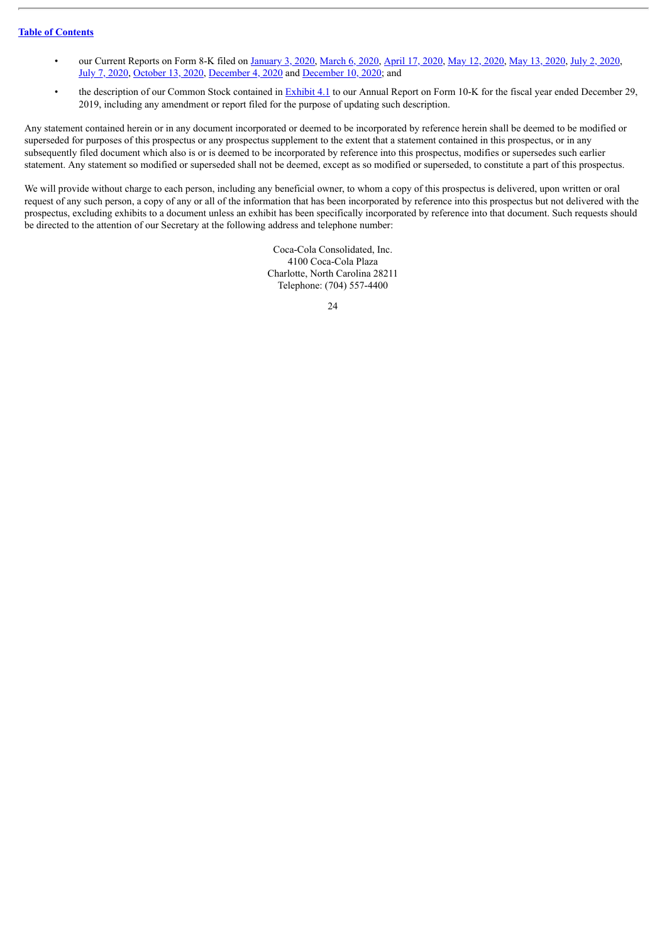- our Current Reports on Form 8-K filed on [January](http://www.sec.gov/ix?doc=/Archives/edgar/data/317540/000119312520001500/d845413d8k.htm) 3, 2020, [March](http://www.sec.gov/ix?doc=/Archives/edgar/data/317540/000162828020003157/coke-20200303.htm) 6, 2020, [April](http://www.sec.gov/ix?doc=/Archives/edgar/data/317540/000119312520110690/d916401d8k.htm) 17, [2020](http://www.sec.gov/ix?doc=/Archives/edgar/data/317540/000119312520140454/d932320d8k.htm), May 12, [2020,](http://www.sec.gov/ix?doc=/Archives/edgar/data/317540/000119312520186856/d89261d8k.htm) May 13, 2020, July 2, 2020. July 7, [2020,](http://www.sec.gov/ix?doc=/Archives/edgar/data/317540/000119312520188808/d935497d8k.htm) [October](http://www.sec.gov/ix?doc=/Archives/edgar/data/317540/000119312520268469/d942125d8k.htm) 13, 2020, [December](http://www.sec.gov/ix?doc=/Archives/edgar/data/317540/000031754020000031/coke-20201201.htm) 4, 2020 and [December](http://www.sec.gov/ix?doc=/Archives/edgar/data/317540/000119312520314932/d91851d8k.htm) 10, 2020; and
- the description of our Common Stock contained in **[Exhibit](http://www.sec.gov/Archives/edgar/data/317540/000156459020006432/coke-ex41_564.htm) 4.1** to our Annual Report on Form 10-K for the fiscal year ended December 29, 2019, including any amendment or report filed for the purpose of updating such description.

Any statement contained herein or in any document incorporated or deemed to be incorporated by reference herein shall be deemed to be modified or superseded for purposes of this prospectus or any prospectus supplement to the extent that a statement contained in this prospectus, or in any subsequently filed document which also is or is deemed to be incorporated by reference into this prospectus, modifies or supersedes such earlier statement. Any statement so modified or superseded shall not be deemed, except as so modified or superseded, to constitute a part of this prospectus.

We will provide without charge to each person, including any beneficial owner, to whom a copy of this prospectus is delivered, upon written or oral request of any such person, a copy of any or all of the information that has been incorporated by reference into this prospectus but not delivered with the prospectus, excluding exhibits to a document unless an exhibit has been specifically incorporated by reference into that document. Such requests should be directed to the attention of our Secretary at the following address and telephone number:

> Coca-Cola Consolidated, Inc. 4100 Coca-Cola Plaza Charlotte, North Carolina 28211 Telephone: (704) 557-4400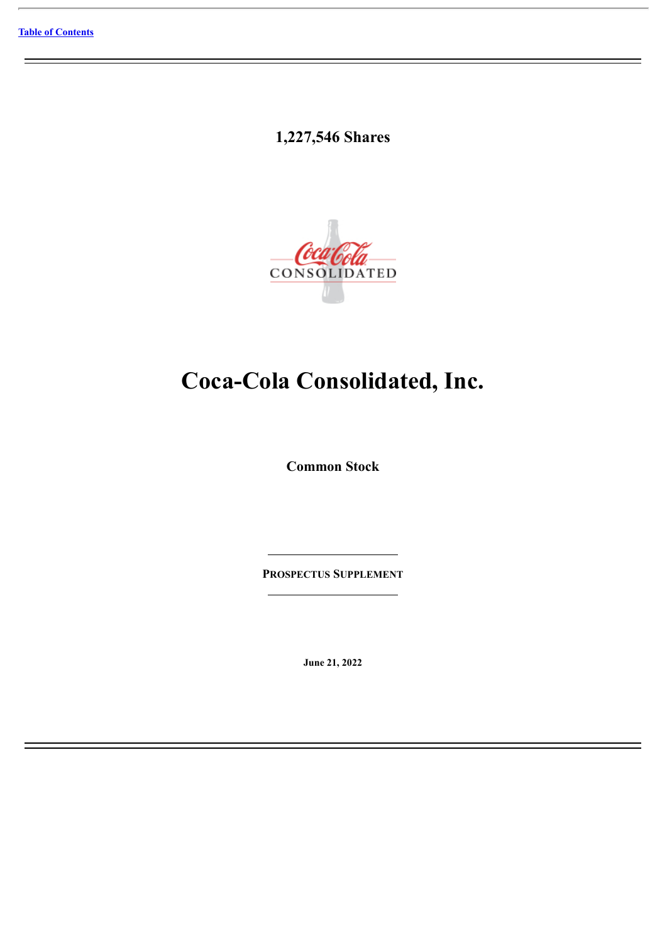**1,227,546 Shares**



# **Coca-Cola Consolidated, Inc.**

**Common Stock**

**PROSPECTUS SUPPLEMENT**

**June 21, 2022**